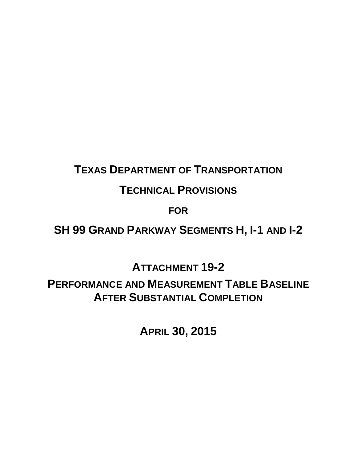# **TEXAS DEPARTMENT OF TRANSPORTATION**

## **TECHNICAL PROVISIONS**

### **FOR**

# **SH 99 GRAND PARKWAY SEGMENTS H, I-1 AND I-2**

**ATTACHMENT 19-2** 

**PERFORMANCE AND MEASUREMENT TABLE BASELINE AFTER SUBSTANTIAL COMPLETION**

**APRIL 30, 2015**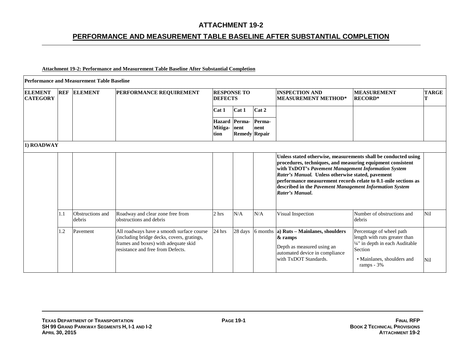### **PERFORMANCE AND MEASUREMENT TABLE BASELINE AFTER SUBSTANTIAL COMPLETION**

#### **Attachment 19-2: Performance and Measurement Table Baseline After Substantial Completion**

|                                   | <b>Performance and Measurement Table Baseline</b> |                            |                                                                                                                                                                      |                                      |                                               |                |                                                                                                                                                                                                                                                                                                                                                                                          |                                                                                                                                                       |              |  |  |
|-----------------------------------|---------------------------------------------------|----------------------------|----------------------------------------------------------------------------------------------------------------------------------------------------------------------|--------------------------------------|-----------------------------------------------|----------------|------------------------------------------------------------------------------------------------------------------------------------------------------------------------------------------------------------------------------------------------------------------------------------------------------------------------------------------------------------------------------------------|-------------------------------------------------------------------------------------------------------------------------------------------------------|--------------|--|--|
| <b>ELEMENT</b><br><b>CATEGORY</b> |                                                   | <b>REF ELEMENT</b>         | PERFORMANCE REQUIREMENT                                                                                                                                              | <b>RESPONSE TO</b><br><b>DEFECTS</b> |                                               |                | <b>INSPECTION AND</b><br><b>MEASUREMENT METHOD*</b>                                                                                                                                                                                                                                                                                                                                      | <b>MEASUREMENT</b><br><b>RECORD*</b>                                                                                                                  | <b>TARGE</b> |  |  |
|                                   |                                                   |                            |                                                                                                                                                                      | Cat 1                                | Cat 1                                         | Cat 2          |                                                                                                                                                                                                                                                                                                                                                                                          |                                                                                                                                                       |              |  |  |
|                                   |                                                   |                            |                                                                                                                                                                      | Mitiga-<br>tion                      | Hazard Perma-<br>nent<br><b>Remedy Repair</b> | Perma-<br>nent |                                                                                                                                                                                                                                                                                                                                                                                          |                                                                                                                                                       |              |  |  |
| 1) ROADWAY                        |                                                   |                            |                                                                                                                                                                      |                                      |                                               |                |                                                                                                                                                                                                                                                                                                                                                                                          |                                                                                                                                                       |              |  |  |
|                                   |                                                   |                            |                                                                                                                                                                      |                                      |                                               |                | Unless stated otherwise, measurements shall be conducted using<br>procedures, techniques, and measuring equipment consistent<br>with TxDOT's Pavement Management Information System<br>Rater's Manual. Unless otherwise stated, pavement<br>performance measurement records relate to 0.1-mile sections as<br>described in the Pavement Management Information System<br>Rater's Manual. |                                                                                                                                                       |              |  |  |
|                                   | l.1                                               | Obstructions and<br>debris | Roadway and clear zone free from<br>obstructions and debris                                                                                                          | 2 hrs                                | N/A                                           | N/A            | Visual Inspection                                                                                                                                                                                                                                                                                                                                                                        | Number of obstructions and<br>debris                                                                                                                  | <b>Nil</b>   |  |  |
|                                   | $\cdot$ .2                                        | Pavement                   | All roadways have a smooth surface course<br>(including bridge decks, covers, gratings,<br>frames and boxes) with adequate skid<br>resistance and free from Defects. | 24 hrs                               | 28 days                                       | 6 months       | a) Ruts - Mainlanes, shoulders<br>& ramps<br>Depth as measured using an<br>automated device in compliance<br>with TxDOT Standards.                                                                                                                                                                                                                                                       | Percentage of wheel path<br>length with ruts greater than<br>1/4" in depth in each Auditable<br>Section<br>• Mainlanes, shoulders and<br>ramps - $3%$ | Nil          |  |  |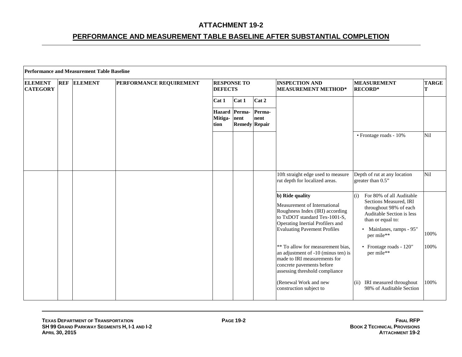|                                   | <b>Performance and Measurement Table Baseline</b> |                |                         |                      |                                       |                |                                                                                                                                                                                                |                                                                                                                                                                                 |              |  |  |
|-----------------------------------|---------------------------------------------------|----------------|-------------------------|----------------------|---------------------------------------|----------------|------------------------------------------------------------------------------------------------------------------------------------------------------------------------------------------------|---------------------------------------------------------------------------------------------------------------------------------------------------------------------------------|--------------|--|--|
| <b>ELEMENT</b><br><b>CATEGORY</b> | <b>REF</b>                                        | <b>ELEMENT</b> | PERFORMANCE REQUIREMENT | <b>DEFECTS</b>       | <b>RESPONSE TO</b>                    |                | <b>INSPECTION AND</b><br><b>MEASUREMENT METHOD*</b>                                                                                                                                            | <b>MEASUREMENT</b><br><b>RECORD*</b>                                                                                                                                            | <b>TARGE</b> |  |  |
|                                   |                                                   |                |                         | Cat 1                | Cat 1                                 | Cat 2          |                                                                                                                                                                                                |                                                                                                                                                                                 |              |  |  |
|                                   |                                                   |                |                         | Mitiga- nent<br>tion | Hazard Perma-<br><b>Remedy Repair</b> | Perma-<br>nent |                                                                                                                                                                                                |                                                                                                                                                                                 |              |  |  |
|                                   |                                                   |                |                         |                      |                                       |                |                                                                                                                                                                                                | • Frontage roads - 10%                                                                                                                                                          | Nil          |  |  |
|                                   |                                                   |                |                         |                      |                                       |                | 10ft straight edge used to measure<br>rut depth for localized areas.                                                                                                                           | Depth of rut at any location<br>greater than 0.5"                                                                                                                               | Nil          |  |  |
|                                   |                                                   |                |                         |                      |                                       |                | b) Ride quality<br>Measurement of International<br>Roughness Index (IRI) according<br>to TxDOT standard Tex-1001-S,<br>Operating Inertial Profilers and<br><b>Evaluating Pavement Profiles</b> | For 80% of all Auditable<br>(i)<br>Sections Measured, IRI<br>throughout 98% of each<br>Auditable Section is less<br>than or equal to:<br>• Mainlanes, ramps - 95"<br>per mile** | 100%         |  |  |
|                                   |                                                   |                |                         |                      |                                       |                | ** To allow for measurement bias,<br>an adjustment of -10 (minus ten) is<br>made to IRI measurements for<br>concrete pavements before<br>assessing threshold compliance                        | • Frontage roads - 120"<br>per mile**                                                                                                                                           | 100%         |  |  |
|                                   |                                                   |                |                         |                      |                                       |                | (Renewal Work and new<br>construction subject to                                                                                                                                               | (ii) IRI measured throughout<br>98% of Auditable Section                                                                                                                        | 100%         |  |  |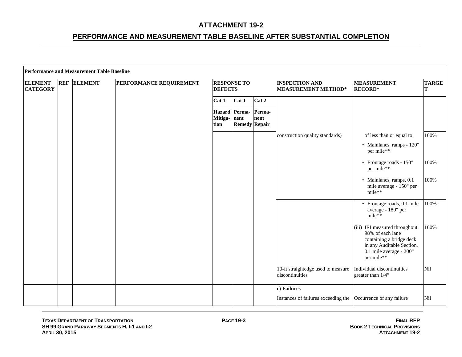|                                   | <b>Performance and Measurement Table Baseline</b> |                |                         |                 |                                               |                |                                                               |                                                                                                                                                     |                   |  |  |
|-----------------------------------|---------------------------------------------------|----------------|-------------------------|-----------------|-----------------------------------------------|----------------|---------------------------------------------------------------|-----------------------------------------------------------------------------------------------------------------------------------------------------|-------------------|--|--|
| <b>ELEMENT</b><br><b>CATEGORY</b> | <b>REF</b>                                        | <b>ELEMENT</b> | PERFORMANCE REQUIREMENT | <b>DEFECTS</b>  | <b>RESPONSE TO</b>                            |                | <b>INSPECTION AND</b><br>MEASUREMENT METHOD*                  | <b>MEASUREMENT</b><br><b>RECORD*</b>                                                                                                                | <b>TARGE</b><br>T |  |  |
|                                   |                                                   |                |                         | Cat 1           | Cat 1                                         | Cat 2          |                                                               |                                                                                                                                                     |                   |  |  |
|                                   |                                                   |                |                         | Mitiga-<br>tion | Hazard Perma-<br>nent<br><b>Remedy Repair</b> | Perma-<br>nent |                                                               |                                                                                                                                                     |                   |  |  |
|                                   |                                                   |                |                         |                 |                                               |                | construction quality standards)                               | of less than or equal to:                                                                                                                           | 100%              |  |  |
|                                   |                                                   |                |                         |                 |                                               |                |                                                               | • Mainlanes, ramps - 120"<br>per mile**                                                                                                             |                   |  |  |
|                                   |                                                   |                |                         |                 |                                               |                |                                                               | • Frontage roads - 150"<br>per mile**                                                                                                               | 100%              |  |  |
|                                   |                                                   |                |                         |                 |                                               |                |                                                               | · Mainlanes, ramps, 0.1<br>mile average - 150" per<br>mile**                                                                                        | 100%              |  |  |
|                                   |                                                   |                |                         |                 |                                               |                |                                                               | • Frontage roads, 0.1 mile<br>average - 180" per<br>mile**                                                                                          | 100%              |  |  |
|                                   |                                                   |                |                         |                 |                                               |                |                                                               | (iii) IRI measured throughout<br>98% of each lane<br>containing a bridge deck<br>in any Auditable Section,<br>0.1 mile average - 200"<br>per mile** | 100%              |  |  |
|                                   |                                                   |                |                         |                 |                                               |                | 10-ft straightedge used to measure<br>discontinuities         | Individual discontinuities<br>greater than 1/4"                                                                                                     | Nil               |  |  |
|                                   |                                                   |                |                         |                 |                                               |                | c) Failures                                                   |                                                                                                                                                     |                   |  |  |
|                                   |                                                   |                |                         |                 |                                               |                | Instances of failures exceeding the Occurrence of any failure |                                                                                                                                                     | Nil               |  |  |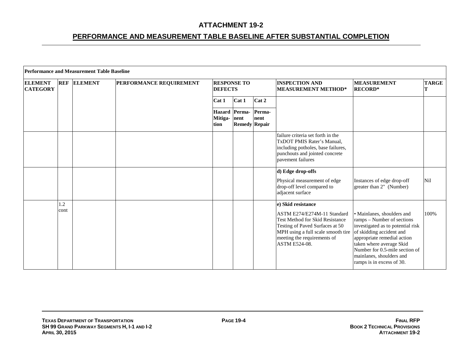|                                   |      | Performance and Measurement Table Baseline |                                |                 |                                               |                |                                                                                                                                                                                                |                                                                                                                                                                                                                                                                                 |              |
|-----------------------------------|------|--------------------------------------------|--------------------------------|-----------------|-----------------------------------------------|----------------|------------------------------------------------------------------------------------------------------------------------------------------------------------------------------------------------|---------------------------------------------------------------------------------------------------------------------------------------------------------------------------------------------------------------------------------------------------------------------------------|--------------|
| <b>ELEMENT</b><br><b>CATEGORY</b> |      | <b>REF ELEMENT</b>                         | <b>PERFORMANCE REQUIREMENT</b> | <b>DEFECTS</b>  | <b>RESPONSE TO</b>                            |                | <b>INSPECTION AND</b><br><b>MEASUREMENT METHOD*</b>                                                                                                                                            | <b>MEASUREMENT</b><br><b>RECORD*</b>                                                                                                                                                                                                                                            | <b>TARGE</b> |
|                                   |      |                                            |                                | Cat 1           | Cat 1                                         | Cat 2          |                                                                                                                                                                                                |                                                                                                                                                                                                                                                                                 |              |
|                                   |      |                                            |                                | Mitiga-<br>tion | Hazard Perma-<br>nent<br><b>Remedy Repair</b> | Perma-<br>nent |                                                                                                                                                                                                |                                                                                                                                                                                                                                                                                 |              |
|                                   |      |                                            |                                |                 |                                               |                | failure criteria set forth in the<br>TxDOT PMIS Rater's Manual,<br>including potholes, base failures,<br>punchouts and jointed concrete<br>payement failures                                   |                                                                                                                                                                                                                                                                                 |              |
|                                   |      |                                            |                                |                 |                                               |                | d) Edge drop-offs                                                                                                                                                                              |                                                                                                                                                                                                                                                                                 |              |
|                                   |      |                                            |                                |                 |                                               |                | Physical measurement of edge<br>drop-off level compared to<br>adjacent surface                                                                                                                 | Instances of edge drop-off<br>greater than 2" (Number)                                                                                                                                                                                                                          | Nil          |
|                                   | 1.2  |                                            |                                |                 |                                               |                | e) Skid resistance                                                                                                                                                                             |                                                                                                                                                                                                                                                                                 |              |
|                                   | cont |                                            |                                |                 |                                               |                | ASTM E274/E274M-11 Standard<br><b>Test Method for Skid Resistance</b><br>Testing of Paved Surfaces at 50<br>MPH using a full scale smooth tire<br>meeting the requirements of<br>ASTM E524-08. | • Mainlanes, shoulders and<br>ramps – Number of sections<br>investigated as to potential risk<br>of skidding accident and<br>appropriate remedial action<br>taken where average Skid<br>Number for 0.5-mile section of<br>mainlanes, shoulders and<br>ramps is in excess of 30. | 100%         |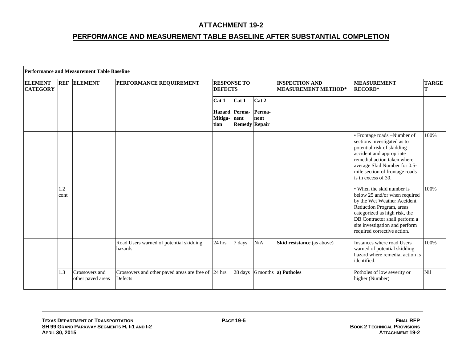|                                   |               | <b>Performance and Measurement Table Baseline</b> |                                                                |                                       |                      |                |                                                     |                                                                                                                                                                                                                                                                                                                                                                                                                                                                                                          |                   |
|-----------------------------------|---------------|---------------------------------------------------|----------------------------------------------------------------|---------------------------------------|----------------------|----------------|-----------------------------------------------------|----------------------------------------------------------------------------------------------------------------------------------------------------------------------------------------------------------------------------------------------------------------------------------------------------------------------------------------------------------------------------------------------------------------------------------------------------------------------------------------------------------|-------------------|
| <b>ELEMENT</b><br><b>CATEGORY</b> | <b>REF</b>    | <b>ELEMENT</b>                                    | <b>PERFORMANCE REQUIREMENT</b>                                 | <b>RESPONSE TO</b><br><b>DEFECTS</b>  |                      |                | <b>INSPECTION AND</b><br><b>MEASUREMENT METHOD*</b> | <b>MEASUREMENT</b><br><b>RECORD*</b>                                                                                                                                                                                                                                                                                                                                                                                                                                                                     | <b>TARGE</b><br>т |
|                                   |               |                                                   |                                                                | Cat 1                                 | Cat 1                | Cat 2          |                                                     |                                                                                                                                                                                                                                                                                                                                                                                                                                                                                                          |                   |
|                                   |               |                                                   |                                                                | Hazard Perma-<br>Mitiga- nent<br>tion | <b>Remedy Repair</b> | Perma-<br>nent |                                                     |                                                                                                                                                                                                                                                                                                                                                                                                                                                                                                          |                   |
|                                   | .2<br>cont    |                                                   |                                                                |                                       |                      |                |                                                     | • Frontage roads -Number of<br>sections investigated as to<br>potential risk of skidding<br>accident and appropriate<br>remedial action taken where<br>average Skid Number for 0.5-<br>mile section of frontage roads<br>is in excess of 30.<br>• When the skid number is<br>below 25 and/or when required<br>by the Wet Weather Accident<br>Reduction Program, areas<br>categorized as high risk, the<br>DB Contractor shall perform a<br>site investigation and perform<br>required corrective action. | 100%<br>100%      |
|                                   |               |                                                   | Road Users warned of potential skidding<br>hazards             | $24$ hrs                              | 7 days               | N/A            | Skid resistance (as above)                          | Instances where road Users<br>warned of potential skidding<br>hazard where remedial action is<br>identified.                                                                                                                                                                                                                                                                                                                                                                                             | 100%              |
|                                   | $\mathbf{.3}$ | Crossovers and<br>other paved areas               | Crossovers and other paved areas are free of 24 hrs<br>Defects |                                       | 28 days              |                | 6 months <b>a</b> ) <b>Potholes</b>                 | Potholes of low severity or<br>higher (Number)                                                                                                                                                                                                                                                                                                                                                                                                                                                           | Nil               |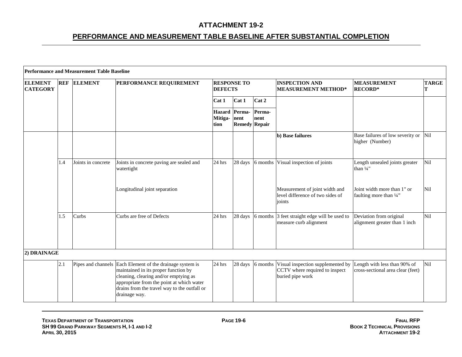|                                   | Performance and Measurement Table Baseline |                    |                                                                                                                                                                                                                                                          |                                      |                                        |                |                                                                                         |                                                                   |              |  |
|-----------------------------------|--------------------------------------------|--------------------|----------------------------------------------------------------------------------------------------------------------------------------------------------------------------------------------------------------------------------------------------------|--------------------------------------|----------------------------------------|----------------|-----------------------------------------------------------------------------------------|-------------------------------------------------------------------|--------------|--|
| <b>ELEMENT</b><br><b>CATEGORY</b> | <b>REF</b>                                 | <b>ELEMENT</b>     | <b>PERFORMANCE REQUIREMENT</b>                                                                                                                                                                                                                           | <b>RESPONSE TO</b><br><b>DEFECTS</b> |                                        |                | <b>INSPECTION AND</b><br><b>MEASUREMENT METHOD*</b>                                     | <b>MEASUREMENT</b><br><b>RECORD*</b>                              | <b>TARGE</b> |  |
|                                   |                                            |                    |                                                                                                                                                                                                                                                          | Cat 1                                | Cat 1                                  | Cat 2          |                                                                                         |                                                                   |              |  |
|                                   |                                            |                    |                                                                                                                                                                                                                                                          | <b>Hazard</b><br>Mitiga-<br>tion     | Perma-<br>nent<br><b>Remedy Repair</b> | Perma-<br>nent |                                                                                         |                                                                   |              |  |
|                                   |                                            |                    |                                                                                                                                                                                                                                                          |                                      |                                        |                | <b>b</b> ) Base failures                                                                | Base failures of low severity or<br>higher (Number)               | Nil          |  |
|                                   | 1.4                                        | Joints in concrete | Joints in concrete paving are sealed and<br>watertight                                                                                                                                                                                                   | 24 hrs                               | 28 days                                | 6 months       | Visual inspection of joints                                                             | Length unsealed joints greater<br>than $\frac{1}{4}$ "            | Nil          |  |
|                                   |                                            |                    | Longitudinal joint separation                                                                                                                                                                                                                            |                                      |                                        |                | Measurement of joint width and<br>level difference of two sides of<br>ioints            | Joint width more than 1" or<br>faulting more than 1/4"            | <b>Nil</b>   |  |
|                                   | 1.5                                        | Curbs              | Curbs are free of Defects                                                                                                                                                                                                                                | 24 hrs                               | 28 days                                |                | 6 months 3 feet straight edge will be used to<br>measure curb alignment                 | Deviation from original<br>alignment greater than 1 inch          | Nil          |  |
| 2) DRAINAGE                       |                                            |                    |                                                                                                                                                                                                                                                          |                                      |                                        |                |                                                                                         |                                                                   |              |  |
|                                   | 2.1                                        |                    | Pipes and channels Each Element of the drainage system is<br>maintained in its proper function by<br>cleaning, clearing and/or emptying as<br>appropriate from the point at which water<br>drains from the travel way to the outfall or<br>drainage way. | 24 hrs                               | 28 days                                | 6 months       | Visual inspection supplemented by<br>CCTV where required to inspect<br>buried pipe work | Length with less than 90% of<br>cross-sectional area clear (feet) | Nil          |  |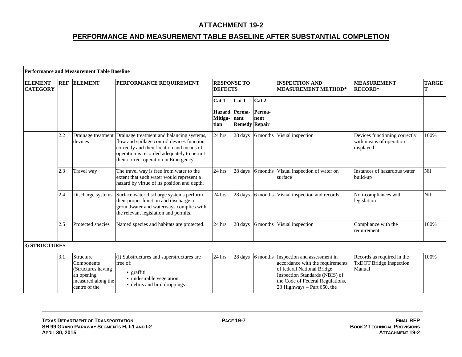|                                   |            | <b>Performance and Measurement Table Baseline</b>                                                  |                                                                                                                                                                                                                                                |                                      |                                        |                |                                                                                                                                                                                                              |                                                                        |              |
|-----------------------------------|------------|----------------------------------------------------------------------------------------------------|------------------------------------------------------------------------------------------------------------------------------------------------------------------------------------------------------------------------------------------------|--------------------------------------|----------------------------------------|----------------|--------------------------------------------------------------------------------------------------------------------------------------------------------------------------------------------------------------|------------------------------------------------------------------------|--------------|
| <b>ELEMENT</b><br><b>CATEGORY</b> | <b>REF</b> | <b>ELEMENT</b>                                                                                     | PERFORMANCE REQUIREMENT                                                                                                                                                                                                                        | <b>RESPONSE TO</b><br><b>DEFECTS</b> |                                        |                | <b>INSPECTION AND</b><br><b>MEASUREMENT METHOD*</b>                                                                                                                                                          | <b>MEASUREMENT</b><br><b>RECORD*</b>                                   | <b>TARGE</b> |
|                                   |            |                                                                                                    |                                                                                                                                                                                                                                                | Cat 1                                | Cat 1                                  | Cat 2          |                                                                                                                                                                                                              |                                                                        |              |
|                                   |            |                                                                                                    |                                                                                                                                                                                                                                                | <b>Hazard</b><br>Mitiga-<br>tion     | Perma-<br>nent<br><b>Remedy Repair</b> | Perma-<br>nent |                                                                                                                                                                                                              |                                                                        |              |
|                                   | 2.2        | devices                                                                                            | Drainage treatment Drainage treatment and balancing systems,<br>flow and spillage control devices function<br>correctly and their location and means of<br>operation is recorded adequately to permit<br>their correct operation in Emergency. | 24 hrs                               | 28 days                                |                | 6 months Visual inspection                                                                                                                                                                                   | Devices functioning correctly<br>with means of operation<br>displayed  | 100%         |
|                                   | 2.3        | Travel way                                                                                         | The travel way is free from water to the<br>extent that such water would represent a<br>hazard by virtue of its position and depth.                                                                                                            | 24 hrs                               | 28 days                                | 6 months       | Visual inspection of water on<br>surface                                                                                                                                                                     | Instances of hazardous water<br>build-up                               | Nil          |
|                                   | 2.4        | Discharge systems                                                                                  | Surface water discharge systems perform<br>their proper function and discharge to<br>groundwater and waterways complies with<br>the relevant legislation and permits.                                                                          | $24$ hrs                             | 28 days                                | 6 months       | Visual inspection and records                                                                                                                                                                                | Non-compliances with<br>legislation                                    | Nil          |
|                                   | 2.5        | Protected species                                                                                  | Named species and habitats are protected.                                                                                                                                                                                                      | 24 hrs                               | 28 days                                | 6 months       | Visual inspection                                                                                                                                                                                            | Compliance with the<br>requirement                                     | 100%         |
| 3) STRUCTURES                     |            |                                                                                                    |                                                                                                                                                                                                                                                |                                      |                                        |                |                                                                                                                                                                                                              |                                                                        |              |
|                                   | 3.1        | Structure<br>Components<br>(Structures having<br>an opening<br>measured along the<br>centre of the | (i) Substructures and superstructures are<br>free of:<br>• graffiti<br>• undesirable vegetation<br>• debris and bird droppings                                                                                                                 | 24 hrs                               | 28 days                                |                | 6 months Inspection and assessment in<br>accordance with the requirements<br>of federal National Bridge<br>Inspection Standards (NBIS) of<br>the Code of Federal Regulations,<br>23 Highways - Part 650, the | Records as required in the<br><b>TxDOT</b> Bridge Inspection<br>Manual | 100%         |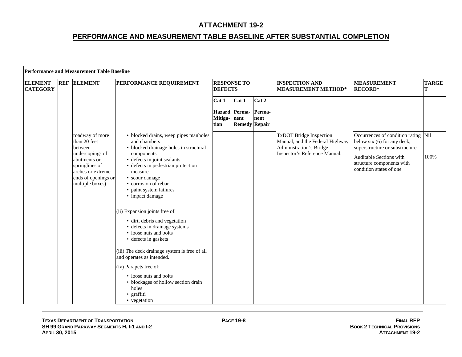|                                   | <b>Performance and Measurement Table Baseline</b> |                                                                                                                  |                                                                                                                                                                                                                                                                                                                                                                    |                 |                                               |                |                                                                                       |                                                                                                      |                   |  |  |
|-----------------------------------|---------------------------------------------------|------------------------------------------------------------------------------------------------------------------|--------------------------------------------------------------------------------------------------------------------------------------------------------------------------------------------------------------------------------------------------------------------------------------------------------------------------------------------------------------------|-----------------|-----------------------------------------------|----------------|---------------------------------------------------------------------------------------|------------------------------------------------------------------------------------------------------|-------------------|--|--|
| <b>ELEMENT</b><br><b>CATEGORY</b> | <b>REF</b>                                        | <b>ELEMENT</b>                                                                                                   | <b>PERFORMANCE REQUIREMENT</b>                                                                                                                                                                                                                                                                                                                                     | <b>DEFECTS</b>  | <b>RESPONSE TO</b>                            |                | <b>INSPECTION AND</b><br><b>MEASUREMENT METHOD*</b>                                   | <b>MEASUREMENT</b><br><b>RECORD*</b>                                                                 | <b>TARGE</b><br>т |  |  |
|                                   |                                                   |                                                                                                                  |                                                                                                                                                                                                                                                                                                                                                                    | Cat 1           | Cat 1                                         | Cat 2          |                                                                                       |                                                                                                      |                   |  |  |
|                                   |                                                   |                                                                                                                  |                                                                                                                                                                                                                                                                                                                                                                    | Mitiga-<br>tion | Hazard Perma-<br>nent<br><b>Remedy Repair</b> | Perma-<br>nent |                                                                                       |                                                                                                      |                   |  |  |
|                                   |                                                   | roadway of more<br>than 20 feet<br>between                                                                       | • blocked drains, weep pipes manholes<br>and chambers<br>• blocked drainage holes in structural                                                                                                                                                                                                                                                                    |                 |                                               |                | TxDOT Bridge Inspection<br>Manual, and the Federal Highway<br>Administration's Bridge | Occurrences of condition rating Nil<br>below six (6) for any deck,<br>superstructure or substructure |                   |  |  |
|                                   |                                                   | undercopings of<br>abutments or<br>springlines of<br>arches or extreme<br>ends of openings or<br>multiple boxes) | components<br>• defects in joint sealants<br>• defects in pedestrian protection<br>measure<br>• scour damage<br>· corrosion of rebar<br>• paint system failures<br>• impact damage                                                                                                                                                                                 |                 |                                               |                | Inspector's Reference Manual.                                                         | Auditable Sections with<br>structure components with<br>condition states of one                      | 100%              |  |  |
|                                   |                                                   |                                                                                                                  | (ii) Expansion joints free of:<br>· dirt, debris and vegetation<br>• defects in drainage systems<br>• loose nuts and bolts<br>• defects in gaskets<br>(iii) The deck drainage system is free of all<br>and operates as intended.<br>(iv) Parapets free of:<br>• loose nuts and bolts<br>• blockages of hollow section drain<br>holes<br>· graffiti<br>• vegetation |                 |                                               |                |                                                                                       |                                                                                                      |                   |  |  |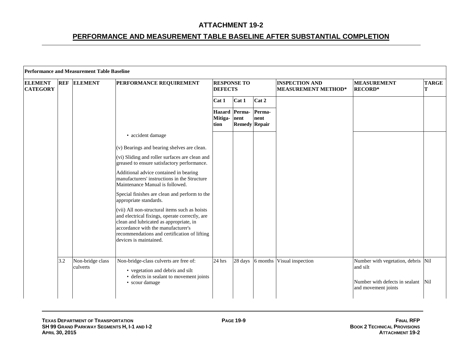|                                   | <b>Performance and Measurement Table Baseline</b> |                              |                                                                                                                                                                                                                                                            |                                       |                      |                |                                                     |                                                                                                         |              |  |
|-----------------------------------|---------------------------------------------------|------------------------------|------------------------------------------------------------------------------------------------------------------------------------------------------------------------------------------------------------------------------------------------------------|---------------------------------------|----------------------|----------------|-----------------------------------------------------|---------------------------------------------------------------------------------------------------------|--------------|--|
| <b>ELEMENT</b><br><b>CATEGORY</b> | <b>REF</b>                                        | <b>ELEMENT</b>               | PERFORMANCE REQUIREMENT                                                                                                                                                                                                                                    | <b>RESPONSE TO</b><br><b>DEFECTS</b>  |                      |                | <b>INSPECTION AND</b><br><b>MEASUREMENT METHOD*</b> | <b>MEASUREMENT</b><br><b>RECORD*</b>                                                                    | <b>TARGE</b> |  |
|                                   |                                                   |                              |                                                                                                                                                                                                                                                            | Cat 1                                 | Cat 1                | Cat 2          |                                                     |                                                                                                         |              |  |
|                                   |                                                   |                              |                                                                                                                                                                                                                                                            | Hazard Perma-<br>Mitiga- nent<br>tion | <b>Remedy Repair</b> | Perma-<br>nent |                                                     |                                                                                                         |              |  |
|                                   |                                                   |                              | • accident damage                                                                                                                                                                                                                                          |                                       |                      |                |                                                     |                                                                                                         |              |  |
|                                   |                                                   |                              | (v) Bearings and bearing shelves are clean.                                                                                                                                                                                                                |                                       |                      |                |                                                     |                                                                                                         |              |  |
|                                   |                                                   |                              | (vi) Sliding and roller surfaces are clean and<br>greased to ensure satisfactory performance.                                                                                                                                                              |                                       |                      |                |                                                     |                                                                                                         |              |  |
|                                   |                                                   |                              | Additional advice contained in bearing<br>manufacturers' instructions in the Structure<br>Maintenance Manual is followed.                                                                                                                                  |                                       |                      |                |                                                     |                                                                                                         |              |  |
|                                   |                                                   |                              | Special finishes are clean and perform to the<br>appropriate standards.                                                                                                                                                                                    |                                       |                      |                |                                                     |                                                                                                         |              |  |
|                                   |                                                   |                              | (vii) All non-structural items such as hoists<br>and electrical fixings, operate correctly, are<br>clean and lubricated as appropriate, in<br>accordance with the manufacturer's<br>recommendations and certification of lifting<br>devices is maintained. |                                       |                      |                |                                                     |                                                                                                         |              |  |
|                                   | 3.2                                               | Non-bridge class<br>culverts | Non-bridge-class culverts are free of:<br>• vegetation and debris and silt<br>• defects in sealant to movement joints<br>• scour damage                                                                                                                    | 24 hrs                                | 28 days              | 6 months       | Visual inspection                                   | Number with vegetation, debris Nil<br>and silt<br>Number with defects in sealant<br>and movement joints | Nil          |  |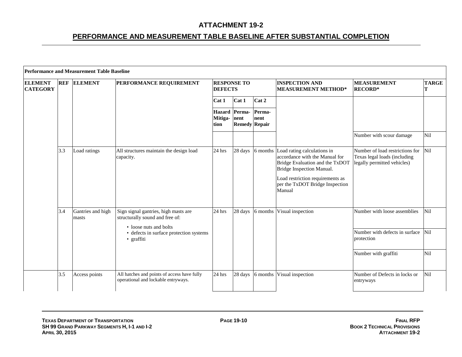|                                   | <b>Performance and Measurement Table Baseline</b> |                            |                                                                                                   |                                      |                              |                |                                                                                                                                                                                                                |                                                                                                |              |  |  |
|-----------------------------------|---------------------------------------------------|----------------------------|---------------------------------------------------------------------------------------------------|--------------------------------------|------------------------------|----------------|----------------------------------------------------------------------------------------------------------------------------------------------------------------------------------------------------------------|------------------------------------------------------------------------------------------------|--------------|--|--|
| <b>ELEMENT</b><br><b>CATEGORY</b> | <b>REF</b>                                        | <b>ELEMENT</b>             | PERFORMANCE REQUIREMENT                                                                           | <b>RESPONSE TO</b><br><b>DEFECTS</b> |                              |                | <b>INSPECTION AND</b><br><b>MEASUREMENT METHOD*</b>                                                                                                                                                            | <b>MEASUREMENT</b><br><b>RECORD*</b>                                                           | <b>TARGE</b> |  |  |
|                                   |                                                   |                            |                                                                                                   | Cat 1                                | Cat 1                        | Cat 2          |                                                                                                                                                                                                                |                                                                                                |              |  |  |
|                                   |                                                   |                            |                                                                                                   | Hazard Perma-<br>Mitiga-<br>tion     | nent<br><b>Remedy Repair</b> | Perma-<br>nent |                                                                                                                                                                                                                |                                                                                                |              |  |  |
|                                   |                                                   |                            |                                                                                                   |                                      |                              |                |                                                                                                                                                                                                                | Number with scour damage                                                                       | Nil          |  |  |
|                                   | 3.3                                               | Load ratings               | All structures maintain the design load<br>capacity.                                              | 24 hrs                               | 28 days                      | 6 months       | Load rating calculations in<br>accordance with the Manual for<br>Bridge Evaluation and the TxDOT<br>Bridge Inspection Manual.<br>Load restriction requirements as<br>per the TxDOT Bridge Inspection<br>Manual | Number of load restrictions for<br>Texas legal loads (including<br>legally permitted vehicles) | Nil          |  |  |
|                                   | 3.4                                               | Gantries and high<br>masts | Sign signal gantries, high masts are<br>structurally sound and free of:<br>• loose nuts and bolts | 24 hrs                               | 28 days                      | 6 months       | Visual inspection                                                                                                                                                                                              | Number with loose assemblies                                                                   | Nil          |  |  |
|                                   |                                                   |                            | • defects in surface protection systems<br>· graffiti                                             |                                      |                              |                |                                                                                                                                                                                                                | Number with defects in surface<br>protection                                                   | Nil          |  |  |
|                                   |                                                   |                            |                                                                                                   |                                      |                              |                |                                                                                                                                                                                                                | Number with graffiti                                                                           | Nil          |  |  |
|                                   | 3.5                                               | Access points              | All hatches and points of access have fully<br>operational and lockable entryways.                | 24 hrs                               | 28 days                      | 6 months       | Visual inspection                                                                                                                                                                                              | Number of Defects in locks or<br>entryways                                                     | Nil          |  |  |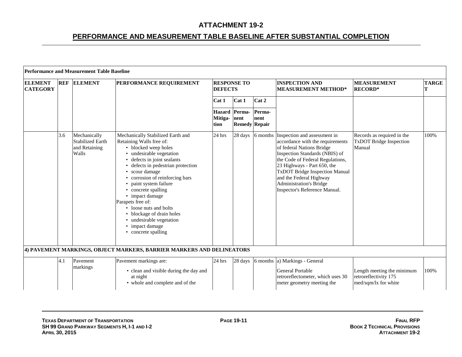|                                   |            | Performance and Measurement Table Baseline                        |                                                                                                                                                                                                                                                                                                                                                                                                                                                           |                 |                                                      |                |                                                                                                                                                                                                                                                                                                                                                    |                                                                             |              |
|-----------------------------------|------------|-------------------------------------------------------------------|-----------------------------------------------------------------------------------------------------------------------------------------------------------------------------------------------------------------------------------------------------------------------------------------------------------------------------------------------------------------------------------------------------------------------------------------------------------|-----------------|------------------------------------------------------|----------------|----------------------------------------------------------------------------------------------------------------------------------------------------------------------------------------------------------------------------------------------------------------------------------------------------------------------------------------------------|-----------------------------------------------------------------------------|--------------|
| <b>ELEMENT</b><br><b>CATEGORY</b> | <b>REF</b> | <b>ELEMENT</b>                                                    | PERFORMANCE REQUIREMENT                                                                                                                                                                                                                                                                                                                                                                                                                                   | <b>DEFECTS</b>  | <b>RESPONSE TO</b>                                   |                | <b>INSPECTION AND</b><br><b>MEASUREMENT METHOD*</b>                                                                                                                                                                                                                                                                                                | <b>MEASUREMENT</b><br><b>RECORD*</b>                                        | <b>TARGE</b> |
|                                   |            |                                                                   |                                                                                                                                                                                                                                                                                                                                                                                                                                                           | Cat 1           | Cat 1                                                | Cat 2          |                                                                                                                                                                                                                                                                                                                                                    |                                                                             |              |
|                                   |            |                                                                   |                                                                                                                                                                                                                                                                                                                                                                                                                                                           | Mitiga-<br>tion | <b>Hazard</b> Perma-<br>nent<br><b>Remedy Repair</b> | Perma-<br>nent |                                                                                                                                                                                                                                                                                                                                                    |                                                                             |              |
|                                   | 3.6        | Mechanically<br><b>Stabilized Earth</b><br>and Retaining<br>Walls | Mechanically Stabilized Earth and<br>Retaining Walls free of:<br>• blocked weep holes<br>• undesirable vegetation<br>defects in joint sealants<br>defects in pedestrian protection<br>scour damage<br>• corrosion of reinforcing bars<br>paint system failure<br>• concrete spalling<br>• impact damage<br>Parapets free of:<br>• loose nuts and bolts<br>• blockage of drain holes<br>• undesirable vegetation<br>• impact damage<br>• concrete spalling | 24 hrs          | 28 days                                              |                | 6 months Inspection and assessment in<br>accordance with the requirements<br>of federal Nations Bridge<br>Inspection Standards (NBIS) of<br>the Code of Federal Regulations,<br>23 Highways - Part 650, the<br><b>TxDOT Bridge Inspection Manual</b><br>and the Federal Highway<br><b>Administration's Bridge</b><br>Inspector's Reference Manual. | Records as required in the<br><b>TxDOT</b> Bridge Inspection<br>Manual      | 100%         |
|                                   |            |                                                                   | 4) PAVEMENT MARKINGS, OBJECT MARKERS, BARRIER MARKERS AND DELINEATORS                                                                                                                                                                                                                                                                                                                                                                                     |                 |                                                      |                |                                                                                                                                                                                                                                                                                                                                                    |                                                                             |              |
|                                   | 4.1        | Pavement<br>markings                                              | Pavement markings are:<br>• clean and visible during the day and<br>at night<br>• whole and complete and of the                                                                                                                                                                                                                                                                                                                                           | 24 hrs          | 28 days                                              |                | 6 months a) Markings - General<br><b>General Portable</b><br>retroreflectometer, which uses 30<br>meter geometry meeting the                                                                                                                                                                                                                       | Length meeting the minimum<br>retroreflectivity 175<br>med/sqm/lx for white | 100%         |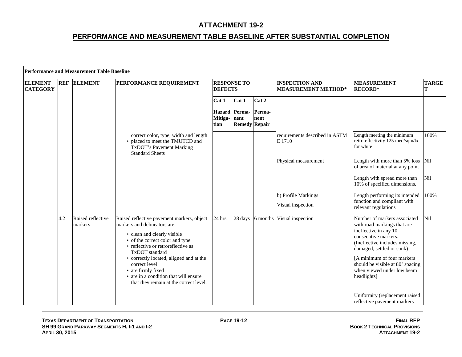|                                   | <b>Performance and Measurement Table Baseline</b> |                              |                                                                                                                                                                                                                                                                                                                                                                           |                 |                                               |                |                                                     |                                                                                                                                                                                                                                                                                                                               |                   |  |  |
|-----------------------------------|---------------------------------------------------|------------------------------|---------------------------------------------------------------------------------------------------------------------------------------------------------------------------------------------------------------------------------------------------------------------------------------------------------------------------------------------------------------------------|-----------------|-----------------------------------------------|----------------|-----------------------------------------------------|-------------------------------------------------------------------------------------------------------------------------------------------------------------------------------------------------------------------------------------------------------------------------------------------------------------------------------|-------------------|--|--|
| <b>ELEMENT</b><br><b>CATEGORY</b> |                                                   | <b>REF ELEMENT</b>           | PERFORMANCE REQUIREMENT                                                                                                                                                                                                                                                                                                                                                   | <b>DEFECTS</b>  | <b>RESPONSE TO</b>                            |                | <b>INSPECTION AND</b><br><b>MEASUREMENT METHOD*</b> | <b>MEASUREMENT</b><br><b>RECORD*</b>                                                                                                                                                                                                                                                                                          | <b>TARGE</b><br>т |  |  |
|                                   |                                                   |                              |                                                                                                                                                                                                                                                                                                                                                                           | Cat 1           | Cat 1                                         | Cat 2          |                                                     |                                                                                                                                                                                                                                                                                                                               |                   |  |  |
|                                   |                                                   |                              |                                                                                                                                                                                                                                                                                                                                                                           | Mitiga-<br>tion | Hazard Perma-<br>nent<br><b>Remedy Repair</b> | Perma-<br>nent |                                                     |                                                                                                                                                                                                                                                                                                                               |                   |  |  |
|                                   |                                                   |                              | correct color, type, width and length<br>• placed to meet the TMUTCD and<br>TxDOT's Pavement Marking<br><b>Standard Sheets</b>                                                                                                                                                                                                                                            |                 |                                               |                | requirements described in ASTM<br>E 1710            | Length meeting the minimum<br>retroreflectivity 125 med/sqm/lx<br>for white                                                                                                                                                                                                                                                   | 100%              |  |  |
|                                   |                                                   |                              |                                                                                                                                                                                                                                                                                                                                                                           |                 |                                               |                | Physical measurement                                | Length with more than 5% loss<br>of area of material at any point                                                                                                                                                                                                                                                             | Nil               |  |  |
|                                   |                                                   |                              |                                                                                                                                                                                                                                                                                                                                                                           |                 |                                               |                |                                                     | Length with spread more than<br>10% of specified dimensions.                                                                                                                                                                                                                                                                  | Nil               |  |  |
|                                   |                                                   |                              |                                                                                                                                                                                                                                                                                                                                                                           |                 |                                               |                | b) Profile Markings<br>Visual inspection            | Length performing its intended<br>function and compliant with<br>relevant regulations                                                                                                                                                                                                                                         | 100%              |  |  |
|                                   | 4.2                                               | Raised reflective<br>markers | Raised reflective pavement markers, object<br>markers and delineators are:<br>• clean and clearly visible<br>• of the correct color and type<br>• reflective or retroreflective as<br>TxDOT standard<br>• correctly located, aligned and at the<br>correct level<br>• are firmly fixed<br>• are in a condition that will ensure<br>that they remain at the correct level. | 24 hrs          | 28 days                                       | 6 months       | Visual inspection                                   | Number of markers associated<br>with road markings that are<br>ineffective in any 10<br>consecutive markers.<br>(Ineffective includes missing,<br>damaged, settled or sunk)<br>[A minimum of four markers]<br>should be visible at 80' spacing<br>when viewed under low beam<br>headlights]<br>Uniformity (replacement raised | Nil               |  |  |
|                                   |                                                   |                              |                                                                                                                                                                                                                                                                                                                                                                           |                 |                                               |                |                                                     | reflective pavement markers                                                                                                                                                                                                                                                                                                   |                   |  |  |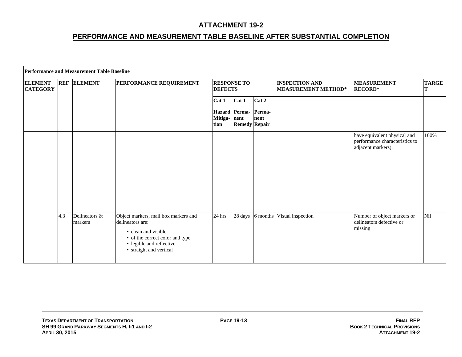|                                   | <b>Performance and Measurement Table Baseline</b> |                          |                                                                                                                                                                           |                                             |                      |                |                                                     |                                                                                      |              |  |  |  |
|-----------------------------------|---------------------------------------------------|--------------------------|---------------------------------------------------------------------------------------------------------------------------------------------------------------------------|---------------------------------------------|----------------------|----------------|-----------------------------------------------------|--------------------------------------------------------------------------------------|--------------|--|--|--|
| <b>ELEMENT</b><br><b>CATEGORY</b> |                                                   | <b>REF ELEMENT</b>       | PERFORMANCE REQUIREMENT                                                                                                                                                   | <b>RESPONSE TO</b><br><b>DEFECTS</b>        |                      |                | <b>INSPECTION AND</b><br><b>MEASUREMENT METHOD*</b> | <b>MEASUREMENT</b><br><b>RECORD*</b>                                                 | <b>TARGE</b> |  |  |  |
|                                   |                                                   |                          |                                                                                                                                                                           | Cat 1<br>Cat 2<br>Cat 1                     |                      |                |                                                     |                                                                                      |              |  |  |  |
|                                   |                                                   |                          |                                                                                                                                                                           | <b>Hazard</b> Perma-<br>Mitiga-nent<br>tion | <b>Remedy Repair</b> | Perma-<br>nent |                                                     |                                                                                      |              |  |  |  |
|                                   |                                                   |                          |                                                                                                                                                                           |                                             |                      |                |                                                     | have equivalent physical and<br>performance characteristics to<br>adjacent markers). | 100%         |  |  |  |
|                                   | 4.3                                               | Delineators &<br>markers | Object markers, mail box markers and<br>delineators are:<br>• clean and visible<br>• of the correct color and type<br>• legible and reflective<br>• straight and vertical | 24 hrs                                      | 28 days              | 6 months       | Visual inspection                                   | Number of object markers or<br>delineators defective or<br>missing                   | Nil          |  |  |  |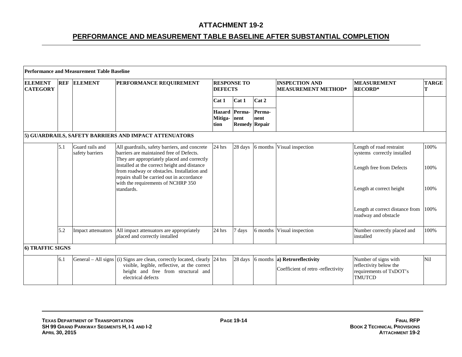|                                   |     | <b>Performance and Measurement Table Baseline</b> |                                                                                                                                                                                           |                                      |                                                      |                |                                                                    |                                                                                            |                   |
|-----------------------------------|-----|---------------------------------------------------|-------------------------------------------------------------------------------------------------------------------------------------------------------------------------------------------|--------------------------------------|------------------------------------------------------|----------------|--------------------------------------------------------------------|--------------------------------------------------------------------------------------------|-------------------|
| <b>ELEMENT</b><br><b>CATEGORY</b> |     | <b>REF ELEMENT</b>                                | PERFORMANCE REQUIREMENT                                                                                                                                                                   | <b>RESPONSE TO</b><br><b>DEFECTS</b> |                                                      |                | <b>INSPECTION AND</b><br><b>MEASUREMENT METHOD*</b>                | <b>MEASUREMENT</b><br><b>RECORD*</b>                                                       | <b>TARGE</b><br>т |
|                                   |     |                                                   |                                                                                                                                                                                           | Cat 1                                | Cat 1                                                | Cat 2          |                                                                    |                                                                                            |                   |
|                                   |     |                                                   |                                                                                                                                                                                           | Mitiga-<br>tion                      | <b>Hazard</b> Perma-<br>nent<br><b>Remedy Repair</b> | Perma-<br>nent |                                                                    |                                                                                            |                   |
|                                   |     |                                                   | 5) GUARDRAILS, SAFETY BARRIERS AND IMPACT ATTENUATORS                                                                                                                                     |                                      |                                                      |                |                                                                    |                                                                                            |                   |
|                                   | 5.1 | Guard rails and<br>safety barriers                | All guardrails, safety barriers, and concrete<br>barriers are maintained free of Defects.<br>They are appropriately placed and correctly                                                  | 24 hrs                               | 28 days                                              |                | 6 months Visual inspection                                         | Length of road restraint<br>systems correctly installed                                    | 100%              |
|                                   |     |                                                   | installed at the correct height and distance<br>from roadway or obstacles. Installation and<br>repairs shall be carried out in accordance                                                 |                                      |                                                      |                |                                                                    | Length free from Defects                                                                   | 100%              |
|                                   |     |                                                   | with the requirements of NCHRP 350<br>standards.                                                                                                                                          |                                      |                                                      |                |                                                                    | Length at correct height                                                                   | 100%              |
|                                   |     |                                                   |                                                                                                                                                                                           |                                      |                                                      |                |                                                                    | Length at correct distance from<br>roadway and obstacle                                    | 100%              |
|                                   | 5.2 | Impact attenuators                                | All impact attenuators are appropriately<br>placed and correctly installed                                                                                                                | 24 hrs                               | 7 days                                               | 6 months       | Visual inspection                                                  | Number correctly placed and<br>installed                                                   | 100%              |
| 6) TRAFFIC SIGNS                  |     |                                                   |                                                                                                                                                                                           |                                      |                                                      |                |                                                                    |                                                                                            |                   |
|                                   | 6.1 |                                                   | General – All signs $(i)$ Signs are clean, correctly located, clearly 24 hrs<br>visible, legible, reflective, at the correct<br>height and free from structural and<br>electrical defects |                                      | 28 days                                              |                | 6 months a) Retroreflectivity<br>Coefficient of retro-reflectivity | Number of signs with<br>reflectivity below the<br>requirements of TxDOT's<br><b>TMUTCD</b> | N <sub>il</sub>   |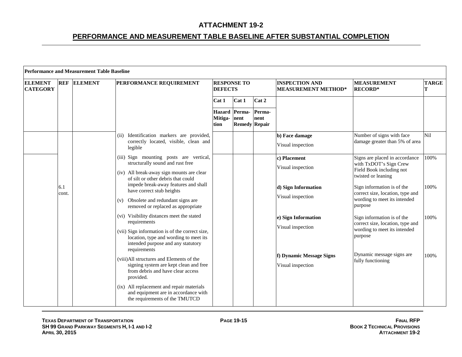| <b>REF ELEMENT</b> | <b>PERFORMANCE REQUIREMENT</b>                                                                                                                                                                                                                                                                                                                                                                                                                                                                                                                                                                                                                                                                                         |                                                                                                                                                                                                              |       |                                                               | <b>INSPECTION AND</b><br><b>MEASUREMENT METHOD*</b>                                                                                                                        | <b>MEASUREMENT</b><br><b>RECORD*</b>                                                                                                                                                                                                                                                                                                                                                   | <b>TARGE</b>                 |
|--------------------|------------------------------------------------------------------------------------------------------------------------------------------------------------------------------------------------------------------------------------------------------------------------------------------------------------------------------------------------------------------------------------------------------------------------------------------------------------------------------------------------------------------------------------------------------------------------------------------------------------------------------------------------------------------------------------------------------------------------|--------------------------------------------------------------------------------------------------------------------------------------------------------------------------------------------------------------|-------|---------------------------------------------------------------|----------------------------------------------------------------------------------------------------------------------------------------------------------------------------|----------------------------------------------------------------------------------------------------------------------------------------------------------------------------------------------------------------------------------------------------------------------------------------------------------------------------------------------------------------------------------------|------------------------------|
|                    |                                                                                                                                                                                                                                                                                                                                                                                                                                                                                                                                                                                                                                                                                                                        | Cat 1                                                                                                                                                                                                        | Cat 1 | Cat 2                                                         |                                                                                                                                                                            |                                                                                                                                                                                                                                                                                                                                                                                        |                              |
|                    |                                                                                                                                                                                                                                                                                                                                                                                                                                                                                                                                                                                                                                                                                                                        | Mitiga-<br>tion                                                                                                                                                                                              |       | Perma-<br>nent                                                |                                                                                                                                                                            |                                                                                                                                                                                                                                                                                                                                                                                        |                              |
|                    | (ii)<br>legible                                                                                                                                                                                                                                                                                                                                                                                                                                                                                                                                                                                                                                                                                                        |                                                                                                                                                                                                              |       |                                                               | b) Face damage<br>Visual inspection                                                                                                                                        | Number of signs with face<br>damage greater than 5% of area                                                                                                                                                                                                                                                                                                                            | Nil                          |
|                    | (iii) Sign mounting posts are vertical,<br>structurally sound and rust free<br>(iv) All break-away sign mounts are clear<br>of silt or other debris that could<br>impede break-away features and shall<br>have correct stub heights<br>(v) Obsolete and redundant signs are<br>removed or replaced as appropriate<br>(vi) Visibility distances meet the stated<br>requirements<br>(vii) Sign information is of the correct size,<br>location, type and wording to meet its<br>intended purpose and any statutory<br>requirements<br>(viii) All structures and Elements of the<br>signing system are kept clean and free<br>from debris and have clear access<br>provided.<br>(ix) All replacement and repair materials |                                                                                                                                                                                                              |       |                                                               | c) Placement<br>Visual inspection<br>d) Sign Information<br>Visual inspection<br>e) Sign Information<br>Visual inspection<br>f) Dynamic Message Signs<br>Visual inspection | Signs are placed in accordance<br>with TxDOT's Sign Crew<br>Field Book including not<br>twisted or leaning<br>Sign information is of the<br>correct size, location, type and<br>wording to meet its intended<br>purpose<br>Sign information is of the<br>correct size, location, type and<br>wording to meet its intended<br>purpose<br>Dynamic message signs are<br>fully functioning | 100%<br>100%<br>100%<br>100% |
|                    |                                                                                                                                                                                                                                                                                                                                                                                                                                                                                                                                                                                                                                                                                                                        | <b>Performance and Measurement Table Baseline</b><br>Identification markers are provided,<br>correctly located, visible, clean and<br>and equipment are in accordance with<br>the requirements of the TMUTCD |       | <b>RESPONSE TO</b><br><b>DEFECTS</b><br>Hazard Perma-<br>nent | <b>Remedy Repair</b>                                                                                                                                                       |                                                                                                                                                                                                                                                                                                                                                                                        |                              |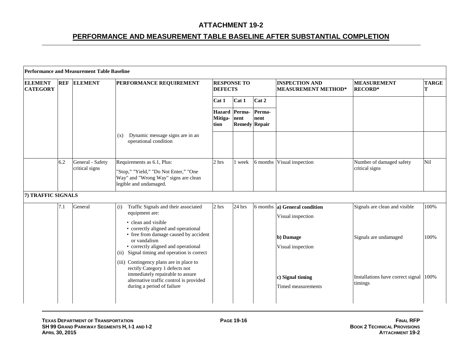|                                   |     | <b>Performance and Measurement Table Baseline</b> |                                                                                                                                                                                                                                                                                                                                                            |                                  |                    |                                        |                                                                                      |                                                        |                   |
|-----------------------------------|-----|---------------------------------------------------|------------------------------------------------------------------------------------------------------------------------------------------------------------------------------------------------------------------------------------------------------------------------------------------------------------------------------------------------------------|----------------------------------|--------------------|----------------------------------------|--------------------------------------------------------------------------------------|--------------------------------------------------------|-------------------|
| <b>ELEMENT</b><br><b>CATEGORY</b> |     | <b>REF ELEMENT</b>                                | PERFORMANCE REQUIREMENT                                                                                                                                                                                                                                                                                                                                    | <b>DEFECTS</b>                   | <b>RESPONSE TO</b> |                                        | <b>INSPECTION AND</b><br><b>MEASUREMENT METHOD*</b>                                  | <b>MEASUREMENT</b><br><b>RECORD*</b>                   | <b>TARGE</b><br>т |
|                                   |     |                                                   |                                                                                                                                                                                                                                                                                                                                                            | Cat 1                            | Cat 1              | Cat 2                                  |                                                                                      |                                                        |                   |
|                                   |     |                                                   |                                                                                                                                                                                                                                                                                                                                                            | <b>Hazard</b><br>Mitiga-<br>tion | Perma-<br>nent     | Perma-<br>nent<br><b>Remedy Repair</b> |                                                                                      |                                                        |                   |
|                                   |     |                                                   | Dynamic message signs are in an<br>(x)<br>operational condition                                                                                                                                                                                                                                                                                            |                                  |                    |                                        |                                                                                      |                                                        |                   |
|                                   | 6.2 | General - Safety<br>critical signs                | Requirements as 6.1, Plus:<br>"Stop," "Yield," "Do Not Enter," "One<br>Way" and "Wrong Way" signs are clean<br>legible and undamaged.                                                                                                                                                                                                                      | 2 hrs                            | 1 week             |                                        | 6 months Visual inspection                                                           | Number of damaged safety<br>critical signs             | N <sub>il</sub>   |
| 7) TRAFFIC SIGNALS                |     |                                                   |                                                                                                                                                                                                                                                                                                                                                            |                                  |                    |                                        |                                                                                      |                                                        |                   |
|                                   | 7.1 | General                                           | Traffic Signals and their associated<br>(i)<br>equipment are:<br>• clean and visible<br>• correctly aligned and operational<br>• free from damage caused by accident<br>or vandalism<br>• correctly aligned and operational<br>Signal timing and operation is correct<br>(ii)<br>(iii) Contingency plans are in place to<br>rectify Category 1 defects not | 2 hrs                            | 24 hrs             |                                        | 6 months a) General condition<br>Visual inspection<br>b) Damage<br>Visual inspection | Signals are clean and visible<br>Signals are undamaged | 100%<br>100%      |
|                                   |     |                                                   | immediately repairable to assure<br>alternative traffic control is provided<br>during a period of failure                                                                                                                                                                                                                                                  |                                  |                    |                                        | c) Signal timing<br>Timed measurements                                               | Installations have correct signal 100%<br>timings      |                   |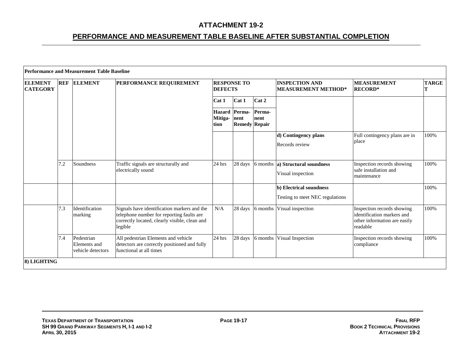|                                   |            | Performance and Measurement Table Baseline      |                                                                                                                                                      |                                  |                                        |                      |                                                               |                                                                                                      |              |
|-----------------------------------|------------|-------------------------------------------------|------------------------------------------------------------------------------------------------------------------------------------------------------|----------------------------------|----------------------------------------|----------------------|---------------------------------------------------------------|------------------------------------------------------------------------------------------------------|--------------|
| <b>ELEMENT</b><br><b>CATEGORY</b> | <b>REF</b> | <b>ELEMENT</b>                                  | <b>PERFORMANCE REQUIREMENT</b>                                                                                                                       | <b>DEFECTS</b>                   | <b>RESPONSE TO</b>                     |                      | <b>INSPECTION AND</b><br><b>MEASUREMENT METHOD*</b>           | <b>MEASUREMENT</b><br><b>RECORD*</b>                                                                 | <b>TARGE</b> |
|                                   |            |                                                 |                                                                                                                                                      | Cat 2<br>Cat 1<br>Cat 1          |                                        |                      |                                                               |                                                                                                      |              |
|                                   |            |                                                 |                                                                                                                                                      | <b>Hazard</b><br>Mitiga-<br>tion | Perma-<br>nent<br><b>Remedy Repair</b> | Perma-<br>nent       |                                                               |                                                                                                      |              |
|                                   |            |                                                 |                                                                                                                                                      |                                  |                                        | d) Contingency plans | Full contingency plans are in<br>place                        | 100%                                                                                                 |              |
|                                   |            |                                                 |                                                                                                                                                      |                                  |                                        |                      | Records review                                                |                                                                                                      |              |
|                                   | 7.2        | Soundness                                       | Traffic signals are structurally and<br>electrically sound                                                                                           | 24 hrs                           | 28 days                                |                      | 6 months <b>a</b> ) Structural soundness<br>Visual inspection | Inspection records showing<br>safe installation and<br>maintenance                                   | 100%         |
|                                   |            |                                                 |                                                                                                                                                      |                                  |                                        |                      | b) Electrical soundness                                       |                                                                                                      | 100%         |
|                                   |            |                                                 |                                                                                                                                                      |                                  |                                        |                      | Testing to meet NEC regulations                               |                                                                                                      |              |
|                                   | 7.3        | Identification<br>marking                       | Signals have identification markers and the<br>telephone number for reporting faults are<br>correctly located, clearly visible, clean and<br>legible | N/A                              | 28 days                                | 6 months             | Visual inspection                                             | Inspection records showing<br>identification markers and<br>other information are easily<br>readable | 100%         |
|                                   | 7.4        | Pedestrian<br>Elements and<br>vehicle detectors | All pedestrian Elements and vehicle<br>detectors are correctly positioned and fully<br>functional at all times                                       | 24 hrs                           | 28 days                                | 6 months             | Visual Inspection                                             | Inspection records showing<br>compliance                                                             | 100%         |
| 8) LIGHTING                       |            |                                                 |                                                                                                                                                      |                                  |                                        |                      |                                                               |                                                                                                      |              |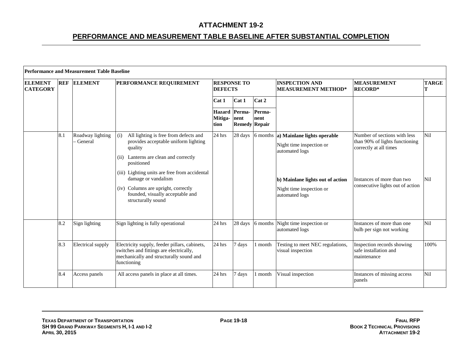|                                   |            | <b>Performance and Measurement Table Baseline</b> |                                                                                                                                                                       |                                      |                              |                |                                                                                    |                                                                                          |                 |
|-----------------------------------|------------|---------------------------------------------------|-----------------------------------------------------------------------------------------------------------------------------------------------------------------------|--------------------------------------|------------------------------|----------------|------------------------------------------------------------------------------------|------------------------------------------------------------------------------------------|-----------------|
| <b>ELEMENT</b><br><b>CATEGORY</b> | <b>REF</b> | <b>ELEMENT</b>                                    | PERFORMANCE REQUIREMENT                                                                                                                                               | <b>RESPONSE TO</b><br><b>DEFECTS</b> |                              |                | <b>INSPECTION AND</b><br><b>MEASUREMENT METHOD*</b>                                | <b>MEASUREMENT</b><br><b>RECORD*</b>                                                     | <b>TARGE</b>    |
|                                   |            |                                                   |                                                                                                                                                                       | Cat 1                                | Cat 1                        | Cat 2          |                                                                                    |                                                                                          |                 |
|                                   |            |                                                   |                                                                                                                                                                       | Hazard Perma<br>Mitiga-<br>tion      | nent<br><b>Remedy Repair</b> | Perma-<br>nent |                                                                                    |                                                                                          |                 |
|                                   | 8.1        | Roadway lighting<br>General                       | All lighting is free from defects and<br>(i)<br>provides acceptable uniform lighting<br>quality<br>Lanterns are clean and correctly<br>(ii)<br>positioned             | 24 hrs                               | 28 days                      |                | 6 months a) Mainlane lights operable<br>Night time inspection or<br>automated logs | Number of sections with less<br>than 90% of lights functioning<br>correctly at all times | Nil             |
|                                   |            |                                                   | (iii) Lighting units are free from accidental<br>damage or vandalism<br>(iv) Columns are upright, correctly<br>founded, visually acceptable and<br>structurally sound |                                      |                              |                | b) Mainlane lights out of action<br>Night time inspection or<br>automated logs     | Instances of more than two<br>consecutive lights out of action                           | Nil             |
|                                   | 8.2        | Sign lighting                                     | Sign lighting is fully operational                                                                                                                                    | 24 hrs                               | 28 days                      | 6 months       | Night time inspection or<br>automated logs                                         | Instances of more than one<br>bulb per sign not working                                  | N <sub>il</sub> |
|                                   | 8.3        | Electrical supply                                 | Electricity supply, feeder pillars, cabinets,<br>switches and fittings are electrically,<br>mechanically and structurally sound and<br>functioning                    | 24 hrs                               | 7 days                       | 1 month        | Testing to meet NEC regulations,<br>visual inspection                              | Inspection records showing<br>safe installation and<br>maintenance                       | 100%            |
|                                   | 8.4        | Access panels                                     | All access panels in place at all times.                                                                                                                              | 24 hrs                               | 7 days                       | 1 month        | Visual inspection                                                                  | Instances of missing access<br>panels                                                    | Nil             |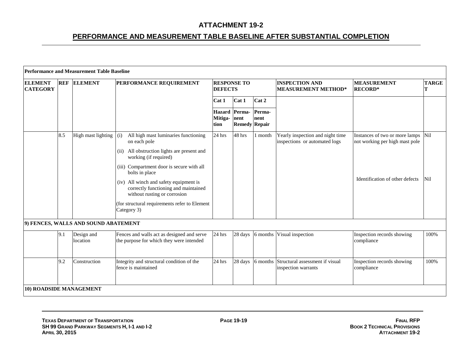| <b>ELEMENT</b><br><b>CATEGORY</b> | <b>REF</b> | <b>ELEMENT</b>                       | PERFORMANCE REQUIREMENT                                                                                                                                                                                                                                                                                                                                                                 | <b>RESPONSE TO</b><br><b>DEFECTS</b> |                                        |                | <b>INSPECTION AND</b><br><b>MEASUREMENT METHOD*</b>               | <b>MEASUREMENT</b><br><b>RECORD*</b>                                                                | <b>TARGE</b><br>т |
|-----------------------------------|------------|--------------------------------------|-----------------------------------------------------------------------------------------------------------------------------------------------------------------------------------------------------------------------------------------------------------------------------------------------------------------------------------------------------------------------------------------|--------------------------------------|----------------------------------------|----------------|-------------------------------------------------------------------|-----------------------------------------------------------------------------------------------------|-------------------|
|                                   |            |                                      |                                                                                                                                                                                                                                                                                                                                                                                         | Cat 1                                | Cat 1                                  | Cat 2          |                                                                   |                                                                                                     |                   |
|                                   |            |                                      |                                                                                                                                                                                                                                                                                                                                                                                         | <b>Hazard</b><br>Mitiga-<br>tion     | Perma-<br>nent<br><b>Remedy Repair</b> | Perma-<br>nent |                                                                   |                                                                                                     |                   |
|                                   | 8.5        | High mast lighting                   | All high mast luminaries functioning<br>(i)<br>on each pole<br>All obstruction lights are present and<br>(ii)<br>working (if required)<br>(iii) Compartment door is secure with all<br>bolts in place<br>(iv) All winch and safety equipment is<br>correctly functioning and maintained<br>without rusting or corrosion<br>(for structural requirements refer to Element<br>Category 3) | 24 hrs                               | 48 hrs                                 | 1 month        | Yearly inspection and night time<br>inspections or automated logs | Instances of two or more lamps<br>not working per high mast pole<br>Identification of other defects | Nil<br>Nil        |
|                                   |            | 9) FENCES, WALLS AND SOUND ABATEMENT |                                                                                                                                                                                                                                                                                                                                                                                         |                                      |                                        |                |                                                                   |                                                                                                     |                   |
|                                   | 9.1        | Design and<br>location               | Fences and walls act as designed and serve<br>the purpose for which they were intended                                                                                                                                                                                                                                                                                                  | 24 hrs                               | 28 days                                | 6 months       | Visual inspection                                                 | Inspection records showing<br>compliance                                                            | 100%              |
|                                   | 9.2        | Construction                         | Integrity and structural condition of the<br>fence is maintained                                                                                                                                                                                                                                                                                                                        | 24 hrs                               | 28 days                                | 6 months       | Structural assessment if visual<br>inspection warrants            | Inspection records showing<br>compliance                                                            | 100%              |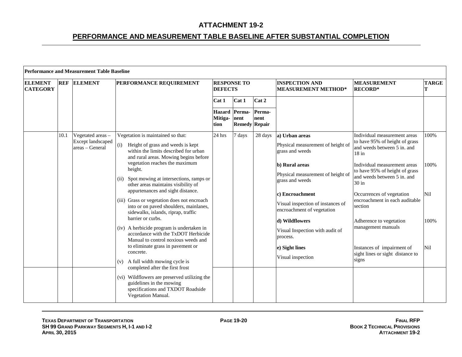|                                   |      | <b>Performance and Measurement Table Baseline</b>                |                                                                                                                                                                                                                                                                                                                                                                                                                                                                                                                                                                                                                                                                                                                                                                                                                                                                                            |                                      |                                       |                |                                                                                                                                                                                                                                                                                                                                                |                                                                                                                                                                                                                                                                                                                                                                                                                            |                                    |
|-----------------------------------|------|------------------------------------------------------------------|--------------------------------------------------------------------------------------------------------------------------------------------------------------------------------------------------------------------------------------------------------------------------------------------------------------------------------------------------------------------------------------------------------------------------------------------------------------------------------------------------------------------------------------------------------------------------------------------------------------------------------------------------------------------------------------------------------------------------------------------------------------------------------------------------------------------------------------------------------------------------------------------|--------------------------------------|---------------------------------------|----------------|------------------------------------------------------------------------------------------------------------------------------------------------------------------------------------------------------------------------------------------------------------------------------------------------------------------------------------------------|----------------------------------------------------------------------------------------------------------------------------------------------------------------------------------------------------------------------------------------------------------------------------------------------------------------------------------------------------------------------------------------------------------------------------|------------------------------------|
| <b>ELEMENT</b><br><b>CATEGORY</b> |      | <b>REF ELEMENT</b>                                               | <b>PERFORMANCE REQUIREMENT</b>                                                                                                                                                                                                                                                                                                                                                                                                                                                                                                                                                                                                                                                                                                                                                                                                                                                             | <b>RESPONSE TO</b><br><b>DEFECTS</b> |                                       |                | <b>INSPECTION AND</b><br><b>MEASUREMENT METHOD*</b>                                                                                                                                                                                                                                                                                            | <b>MEASUREMENT</b><br><b>RECORD*</b>                                                                                                                                                                                                                                                                                                                                                                                       | <b>TARGE</b><br>т                  |
|                                   |      |                                                                  |                                                                                                                                                                                                                                                                                                                                                                                                                                                                                                                                                                                                                                                                                                                                                                                                                                                                                            | Cat 1                                | Cat 1                                 | Cat 2          |                                                                                                                                                                                                                                                                                                                                                |                                                                                                                                                                                                                                                                                                                                                                                                                            |                                    |
|                                   |      |                                                                  |                                                                                                                                                                                                                                                                                                                                                                                                                                                                                                                                                                                                                                                                                                                                                                                                                                                                                            | Mitiga- nent<br>tion                 | Hazard Perma-<br><b>Remedy Repair</b> | Perma-<br>nent |                                                                                                                                                                                                                                                                                                                                                |                                                                                                                                                                                                                                                                                                                                                                                                                            |                                    |
|                                   | 10.1 | Vegetated areas -<br><b>Except landscaped</b><br>areas - General | Vegetation is maintained so that:<br>(i)<br>Height of grass and weeds is kept<br>within the limits described for urban<br>and rural areas. Mowing begins before<br>vegetation reaches the maximum<br>height.<br>Spot mowing at intersections, ramps or<br>(ii)<br>other areas maintains visibility of<br>appurtenances and sight distance.<br>(iii) Grass or vegetation does not encroach<br>into or on paved shoulders, mainlanes,<br>sidewalks, islands, riprap, traffic<br>barrier or curbs.<br>(iv) A herbicide program is undertaken in<br>accordance with the TxDOT Herbicide<br>Manual to control noxious weeds and<br>to eliminate grass in pavement or<br>concrete.<br>(v) A full width mowing cycle is<br>completed after the first frost<br>(vi) Wildflowers are preserved utilizing the<br>guidelines in the mowing<br>specifications and TXDOT Roadside<br>Vegetation Manual. | 24 hrs                               | 7 days                                | 28 days        | a) Urban areas<br>Physical measurement of height of<br>grass and weeds<br>b) Rural areas<br>Physical measurement of height of<br>grass and weeds<br>c) Encroachment<br>Visual inspection of instances of<br>encroachment of vegetation<br>d) Wildflowers<br>Visual Inspection with audit of<br>process.<br>e) Sight lines<br>Visual inspection | Individual measurement areas<br>to have 95% of height of grass<br>and weeds between 5 in. and<br>$18$ in<br>Individual measurement areas<br>to have 95% of height of grass<br>and weeds between 5 in. and<br>$30$ in<br>Occurrences of vegetation<br>encroachment in each auditable<br>section<br>Adherence to vegetation<br>management manuals<br>Instances of impairment of<br>sight lines or sight distance to<br>signs | 100%<br>100%<br>Nil<br>100%<br>Nil |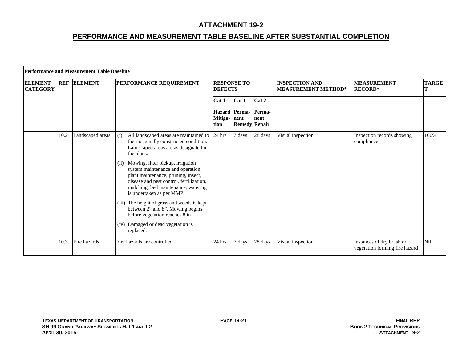|                                   | <b>Performance and Measurement Table Baseline</b> |                  |                                                                                                                                                                                                                                       |                                      |                                |                |                                                     |                                                             |              |  |  |
|-----------------------------------|---------------------------------------------------|------------------|---------------------------------------------------------------------------------------------------------------------------------------------------------------------------------------------------------------------------------------|--------------------------------------|--------------------------------|----------------|-----------------------------------------------------|-------------------------------------------------------------|--------------|--|--|
| <b>ELEMENT</b><br><b>CATEGORY</b> | <b>REF</b>                                        | <b>ELEMENT</b>   | <b>PERFORMANCE REQUIREMENT</b>                                                                                                                                                                                                        | <b>RESPONSE TO</b><br><b>DEFECTS</b> |                                |                | <b>INSPECTION AND</b><br><b>MEASUREMENT METHOD*</b> | <b>MEASUREMENT</b><br><b>RECORD*</b>                        | <b>TARGE</b> |  |  |
|                                   |                                                   |                  |                                                                                                                                                                                                                                       | Cat 1                                | Cat 1                          | Cat 2          |                                                     |                                                             |              |  |  |
|                                   |                                                   |                  |                                                                                                                                                                                                                                       | <b>Hazard</b><br>Mitiga-nent<br>tion | Perma-<br><b>Remedy Repair</b> | Perma-<br>nent |                                                     |                                                             |              |  |  |
|                                   | 10.2                                              | Landscaped areas | (i)<br>All landscaped areas are maintained to<br>their originally constructed condition.<br>Landscaped areas are as designated in<br>the plans.                                                                                       | $24$ hrs                             | 7 days                         | 28 days        | Visual inspection                                   | Inspection records showing<br>compliance                    | 100%         |  |  |
|                                   |                                                   |                  | Mowing, litter pickup, irrigation<br>(ii)<br>system maintenance and operation,<br>plant maintenance, pruning, insect,<br>disease and pest control, fertilization,<br>mulching, bed maintenance, watering<br>is undertaken as per MMP. |                                      |                                |                |                                                     |                                                             |              |  |  |
|                                   |                                                   |                  | (iii) The height of grass and weeds is kept<br>between 2" and 8". Mowing begins<br>before vegetation reaches 8 in                                                                                                                     |                                      |                                |                |                                                     |                                                             |              |  |  |
|                                   |                                                   |                  | Damaged or dead vegetation is<br>(iv)<br>replaced.                                                                                                                                                                                    |                                      |                                |                |                                                     |                                                             |              |  |  |
|                                   | 10.3                                              | Fire hazards     | Fire hazards are controlled                                                                                                                                                                                                           | 24 hrs                               | 7 days                         | 28 days        | Visual inspection                                   | Instances of dry brush or<br>vegetation forming fire hazard | Nil          |  |  |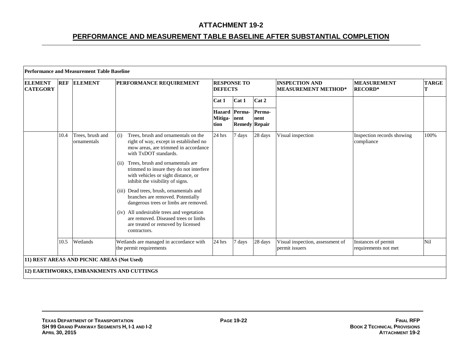|                                   |            | Performance and Measurement Table Baseline |                                                                                                                                                                |                                      |                              |                |                                                     |                                             |              |
|-----------------------------------|------------|--------------------------------------------|----------------------------------------------------------------------------------------------------------------------------------------------------------------|--------------------------------------|------------------------------|----------------|-----------------------------------------------------|---------------------------------------------|--------------|
| <b>ELEMENT</b><br><b>CATEGORY</b> | <b>REF</b> | <b>ELEMENT</b>                             | PERFORMANCE REQUIREMENT                                                                                                                                        | <b>RESPONSE TO</b><br><b>DEFECTS</b> |                              |                | <b>INSPECTION AND</b><br><b>MEASUREMENT METHOD*</b> | <b>MEASUREMENT</b><br><b>RECORD*</b>        | <b>TARGE</b> |
|                                   |            |                                            |                                                                                                                                                                | Cat 1                                | Cat 1                        | Cat 2          |                                                     |                                             |              |
|                                   |            |                                            |                                                                                                                                                                | Hazard Perma-<br>Mitiga-<br>tion     | nent<br><b>Remedy Repair</b> | Perma-<br>nent |                                                     |                                             |              |
|                                   | 10.4       | Trees, brush and<br>ornamentals            | Trees, brush and ornamentals on the<br>(i)<br>right of way, except in established no<br>mow areas, are trimmed in accordance<br>with TxDOT standards.          | 24 hrs                               | 7 days                       | 28 days        | Visual inspection                                   | Inspection records showing<br>compliance    | 100%         |
|                                   |            |                                            | Trees, brush and ornamentals are<br>(ii)<br>trimmed to insure they do not interfere<br>with vehicles or sight distance, or<br>inhibit the visibility of signs. |                                      |                              |                |                                                     |                                             |              |
|                                   |            |                                            | (iii) Dead trees, brush, ornamentals and<br>branches are removed. Potentially<br>dangerous trees or limbs are removed.                                         |                                      |                              |                |                                                     |                                             |              |
|                                   |            |                                            | (iv) All undesirable trees and vegetation<br>are removed. Diseased trees or limbs<br>are treated or removed by licensed<br>contractors.                        |                                      |                              |                |                                                     |                                             |              |
|                                   | 10.5       | Wetlands                                   | Wetlands are managed in accordance with<br>the permit requirements                                                                                             | 24 hrs                               | 7 days                       | 28 days        | Visual inspection, assessment of<br>permit issuers  | Instances of permit<br>requirements not met | Nil          |
|                                   |            | 11) REST AREAS AND PICNIC AREAS (Not Used) |                                                                                                                                                                |                                      |                              |                |                                                     |                                             |              |
|                                   |            |                                            | 12) EARTHWORKS, EMBANKMENTS AND CUTTINGS                                                                                                                       |                                      |                              |                |                                                     |                                             |              |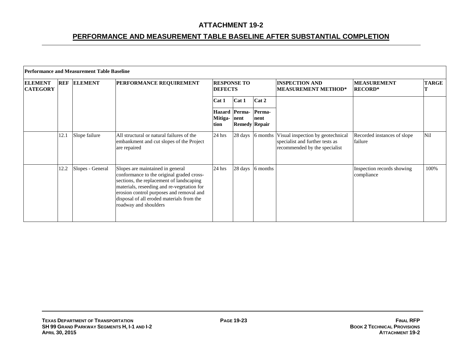|                                   |      | <b>Performance and Measurement Table Baseline</b> |                                                                                                                                                                                                                                                                                           |                                      |                                               |                  |                                                                                                       |                                          |              |
|-----------------------------------|------|---------------------------------------------------|-------------------------------------------------------------------------------------------------------------------------------------------------------------------------------------------------------------------------------------------------------------------------------------------|--------------------------------------|-----------------------------------------------|------------------|-------------------------------------------------------------------------------------------------------|------------------------------------------|--------------|
| <b>ELEMENT</b><br><b>CATEGORY</b> |      | <b>REF ELEMENT</b>                                | PERFORMANCE REQUIREMENT                                                                                                                                                                                                                                                                   | <b>RESPONSE TO</b><br><b>DEFECTS</b> |                                               |                  | <b>INSPECTION AND</b><br><b>MEASUREMENT METHOD*</b>                                                   | <b>MEASUREMENT</b><br><b>RECORD*</b>     | <b>TARGE</b> |
|                                   |      |                                                   |                                                                                                                                                                                                                                                                                           | Cat 1                                | Cat 1                                         | Cat 2            |                                                                                                       |                                          |              |
|                                   |      |                                                   |                                                                                                                                                                                                                                                                                           | Mitiga-<br>tion                      | Hazard Perma-<br>nent<br><b>Remedy Repair</b> | Perma-<br>nent   |                                                                                                       |                                          |              |
|                                   | 12.1 | Slope failure                                     | All structural or natural failures of the<br>embankment and cut slopes of the Project<br>are repaired                                                                                                                                                                                     | 24 hrs                               |                                               | 28 days 6 months | Visual inspection by geotechnical<br>specialist and further tests as<br>recommended by the specialist | Recorded instances of slope<br>failure   | Nil          |
|                                   | 12.2 | Slopes - General                                  | Slopes are maintained in general<br>conformance to the original graded cross-<br>sections, the replacement of landscaping<br>materials, reseeding and re-vegetation for<br>erosion control purposes and removal and<br>disposal of all eroded materials from the<br>roadway and shoulders | 24 hrs                               |                                               | 28 days 6 months |                                                                                                       | Inspection records showing<br>compliance | 100%         |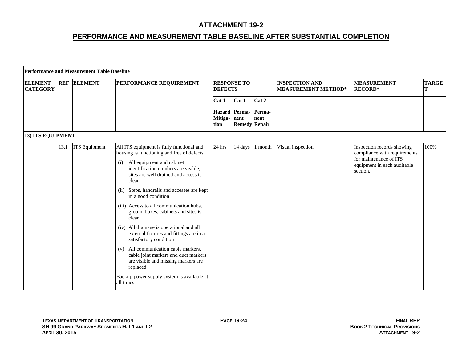|                                   |            | <b>Performance and Measurement Table Baseline</b> |                                                                                                                                                                                                                                                                                                                                                                                                                                                                                                                                                                                                                                                                                                            |                 |                                               |                |                                                     |                                                                                                                                 |                   |
|-----------------------------------|------------|---------------------------------------------------|------------------------------------------------------------------------------------------------------------------------------------------------------------------------------------------------------------------------------------------------------------------------------------------------------------------------------------------------------------------------------------------------------------------------------------------------------------------------------------------------------------------------------------------------------------------------------------------------------------------------------------------------------------------------------------------------------------|-----------------|-----------------------------------------------|----------------|-----------------------------------------------------|---------------------------------------------------------------------------------------------------------------------------------|-------------------|
| <b>ELEMENT</b><br><b>CATEGORY</b> | <b>REF</b> | <b>ELEMENT</b>                                    | <b>PERFORMANCE REQUIREMENT</b>                                                                                                                                                                                                                                                                                                                                                                                                                                                                                                                                                                                                                                                                             | <b>DEFECTS</b>  | <b>RESPONSE TO</b>                            |                | <b>INSPECTION AND</b><br><b>MEASUREMENT METHOD*</b> | <b>MEASUREMENT</b><br><b>RECORD*</b>                                                                                            | <b>TARGE</b><br>т |
|                                   |            |                                                   |                                                                                                                                                                                                                                                                                                                                                                                                                                                                                                                                                                                                                                                                                                            | Cat 1           | Cat 1                                         | Cat 2          |                                                     |                                                                                                                                 |                   |
|                                   |            |                                                   |                                                                                                                                                                                                                                                                                                                                                                                                                                                                                                                                                                                                                                                                                                            | Mitiga-<br>tion | Hazard Perma-<br>nent<br><b>Remedy Repair</b> | Perma-<br>nent |                                                     |                                                                                                                                 |                   |
| <b>13) ITS EQUIPMENT</b>          |            |                                                   |                                                                                                                                                                                                                                                                                                                                                                                                                                                                                                                                                                                                                                                                                                            |                 |                                               |                |                                                     |                                                                                                                                 |                   |
|                                   | 13.1       | <b>ITS</b> Equipment                              | All ITS equipment is fully functional and<br>housing is functioning and free of defects.<br>All equipment and cabinet<br>(i)<br>identification numbers are visible,<br>sites are well drained and access is<br>clear<br>Steps, handrails and accesses are kept<br>(ii)<br>in a good condition<br>(iii) Access to all communication hubs,<br>ground boxes, cabinets and sites is<br>clear<br>(iv) All drainage is operational and all<br>external fixtures and fittings are in a<br>satisfactory condition<br>All communication cable markers,<br>(v)<br>cable joint markers and duct markers<br>are visible and missing markers are<br>replaced<br>Backup power supply system is available at<br>all times | 24 hrs          | 14 days                                       | l month        | Visual inspection                                   | Inspection records showing<br>compliance with requirements<br>for maintenance of ITS<br>equipment in each auditable<br>section. | 100%              |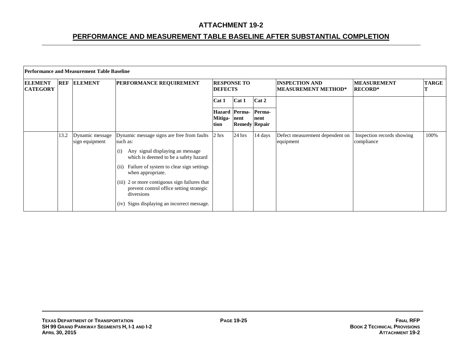| <b>Performance and Measurement Table Baseline</b> |            |                                   |                                                                                                                                                                                                                                                                                                                                                                                  |                                      |                                       |                |                                                     |                                          |              |  |  |
|---------------------------------------------------|------------|-----------------------------------|----------------------------------------------------------------------------------------------------------------------------------------------------------------------------------------------------------------------------------------------------------------------------------------------------------------------------------------------------------------------------------|--------------------------------------|---------------------------------------|----------------|-----------------------------------------------------|------------------------------------------|--------------|--|--|
| <b>ELEMENT</b><br><b>CATEGORY</b>                 | <b>REF</b> | <b>ELEMENT</b>                    | <b>PERFORMANCE REQUIREMENT</b>                                                                                                                                                                                                                                                                                                                                                   | <b>RESPONSE TO</b><br><b>DEFECTS</b> |                                       |                | <b>INSPECTION AND</b><br><b>MEASUREMENT METHOD*</b> | <b>MEASUREMENT</b><br><b>RECORD*</b>     | <b>TARGE</b> |  |  |
|                                                   |            |                                   |                                                                                                                                                                                                                                                                                                                                                                                  | Cat 2<br>Cat 1<br>Cat 1              |                                       |                |                                                     |                                          |              |  |  |
|                                                   |            |                                   |                                                                                                                                                                                                                                                                                                                                                                                  | Mitiga-nent<br>tion                  | Hazard Perma-<br><b>Remedy Repair</b> | Perma-<br>nent |                                                     |                                          |              |  |  |
|                                                   | 13.2       | Dynamic message<br>sign equipment | Dynamic message signs are free from faults<br>such as:<br>Any signal displaying an message<br>(i)<br>which is deemed to be a safety hazard<br>Failure of system to clear sign settings<br>(ii)<br>when appropriate.<br>(iii) 2 or more contiguous sign failures that<br>prevent control office setting strategic<br>diversions<br>Signs displaying an incorrect message.<br>(iv) | 2 hrs                                | $24$ hrs                              | 14 days        | Defect measurement dependent on<br>equipment        | Inspection records showing<br>compliance | 100%         |  |  |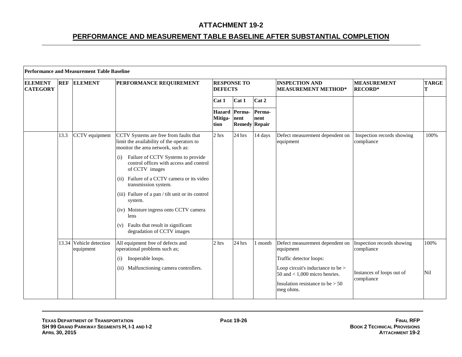| <b>Performance and Measurement Table Baseline</b> |      |                                      |                                                                                                                            |                                       |                      |                |                                                                                                                           |                                          |                   |  |  |
|---------------------------------------------------|------|--------------------------------------|----------------------------------------------------------------------------------------------------------------------------|---------------------------------------|----------------------|----------------|---------------------------------------------------------------------------------------------------------------------------|------------------------------------------|-------------------|--|--|
| <b>ELEMENT</b><br><b>CATEGORY</b>                 |      | <b>REF ELEMENT</b>                   | <b>PERFORMANCE REQUIREMENT</b>                                                                                             | <b>RESPONSE TO</b><br><b>DEFECTS</b>  |                      |                | <b>INSPECTION AND</b><br><b>MEASUREMENT METHOD*</b>                                                                       | <b>MEASUREMENT</b><br><b>RECORD*</b>     | <b>TARGE</b><br>т |  |  |
|                                                   |      |                                      |                                                                                                                            | Cat 1                                 | Cat 1                | Cat 2          |                                                                                                                           |                                          |                   |  |  |
|                                                   |      |                                      |                                                                                                                            | Hazard Perma-<br>Mitiga- nent<br>tion | <b>Remedy Repair</b> | Perma-<br>nent |                                                                                                                           |                                          |                   |  |  |
|                                                   | 13.3 | CCTV equipment                       | CCTV Systems are free from faults that<br>limit the availability of the operators to<br>monitor the area network, such as: | 2 hrs                                 | $24$ hrs             | 14 days        | Defect measurement dependent on<br>equipment                                                                              | Inspection records showing<br>compliance | 100%              |  |  |
|                                                   |      |                                      | Failure of CCTV Systems to provide<br>(i)<br>control offices with access and control<br>of CCTV images                     |                                       |                      |                |                                                                                                                           |                                          |                   |  |  |
|                                                   |      |                                      | Failure of a CCTV camera or its video<br>(ii)<br>transmission system.                                                      |                                       |                      |                |                                                                                                                           |                                          |                   |  |  |
|                                                   |      |                                      | (iii) Failure of a pan / tilt unit or its control<br>system.                                                               |                                       |                      |                |                                                                                                                           |                                          |                   |  |  |
|                                                   |      |                                      | (iv) Moisture ingress onto CCTV camera<br>lens                                                                             |                                       |                      |                |                                                                                                                           |                                          |                   |  |  |
|                                                   |      |                                      | Faults that result in significant<br>(v)<br>degradation of CCTV images                                                     |                                       |                      |                |                                                                                                                           |                                          |                   |  |  |
|                                                   |      | 13.34 Vehicle detection<br>equipment | All equipment free of defects and<br>operational problems such as;                                                         | 2 hrs                                 | 24 hrs               | 1 month        | Defect measurement dependent on<br>equipment                                                                              | Inspection records showing<br>compliance | 100%              |  |  |
|                                                   |      |                                      | Inoperable loops.<br>(i)                                                                                                   |                                       |                      |                | Traffic detector loops:                                                                                                   |                                          |                   |  |  |
|                                                   |      |                                      | Malfunctioning camera controllers.<br>(ii)                                                                                 |                                       |                      |                | Loop circuit's inductance to be $>$<br>50 and $<$ 1,000 micro henries.<br>Insulation resistance to be $> 50$<br>meg ohms. | Instances of loops out of                | Nil               |  |  |
|                                                   |      |                                      |                                                                                                                            |                                       |                      |                |                                                                                                                           | compliance                               |                   |  |  |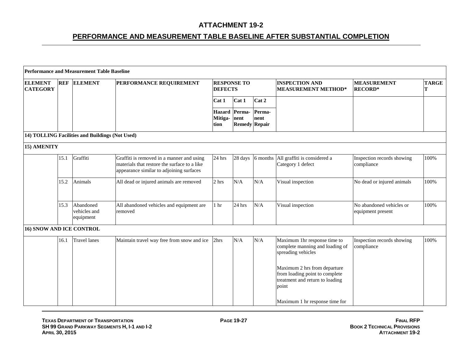|                                   |      | <b>Performance and Measurement Table Baseline</b> |                                                                                                                                       |                                      |                                        |                |                                                                                                            |                                               |                   |
|-----------------------------------|------|---------------------------------------------------|---------------------------------------------------------------------------------------------------------------------------------------|--------------------------------------|----------------------------------------|----------------|------------------------------------------------------------------------------------------------------------|-----------------------------------------------|-------------------|
| <b>ELEMENT</b><br><b>CATEGORY</b> |      | <b>REF ELEMENT</b>                                | PERFORMANCE REQUIREMENT                                                                                                               | <b>RESPONSE TO</b><br><b>DEFECTS</b> |                                        |                | <b>INSPECTION AND</b><br><b>MEASUREMENT METHOD*</b>                                                        | <b>MEASUREMENT</b><br><b>RECORD*</b>          | <b>TARGE</b><br>т |
|                                   |      |                                                   |                                                                                                                                       | Cat 1                                | Cat 1                                  | Cat 2          |                                                                                                            |                                               |                   |
|                                   |      |                                                   |                                                                                                                                       | <b>Hazard</b><br>Mitiga-<br>tion     | Perma-<br>nent<br><b>Remedy Repair</b> | Perma-<br>nent |                                                                                                            |                                               |                   |
|                                   |      | 14) TOLLING Facilities and Buildings (Not Used)   |                                                                                                                                       |                                      |                                        |                |                                                                                                            |                                               |                   |
| 15) AMENITY                       |      |                                                   |                                                                                                                                       |                                      |                                        |                |                                                                                                            |                                               |                   |
|                                   | 15.1 | Graffiti                                          | Graffiti is removed in a manner and using<br>materials that restore the surface to a like<br>appearance similar to adjoining surfaces | 24 hrs                               |                                        |                | 28 days 6 months All graffiti is considered a<br>Category 1 defect                                         | Inspection records showing<br>compliance      | 100%              |
|                                   | 15.2 | Animals                                           | All dead or injured animals are removed                                                                                               | 2 hrs                                | N/A                                    | N/A            | Visual inspection                                                                                          | No dead or injured animals                    | 100%              |
|                                   | 15.3 | Abandoned<br>vehicles and<br>equipment            | All abandoned vehicles and equipment are<br>removed                                                                                   | 1 <sub>hr</sub>                      | 24 hrs                                 | N/A            | Visual inspection                                                                                          | No abandoned vehicles or<br>equipment present | 100%              |
| 16) SNOW AND ICE CONTROL          |      |                                                   |                                                                                                                                       |                                      |                                        |                |                                                                                                            |                                               |                   |
|                                   | 16.1 | <b>Travel lanes</b>                               | Maintain travel way free from snow and ice                                                                                            | 2hrs                                 | N/A                                    | N/A            | Maximum 1hr response time to<br>complete manning and loading of<br>spreading vehicles                      | Inspection records showing<br>compliance      | 100%              |
|                                   |      |                                                   |                                                                                                                                       |                                      |                                        |                | Maximum 2 hrs from departure<br>from loading point to complete<br>treatment and return to loading<br>point |                                               |                   |
|                                   |      |                                                   |                                                                                                                                       |                                      |                                        |                | Maximum 1 hr response time for                                                                             |                                               |                   |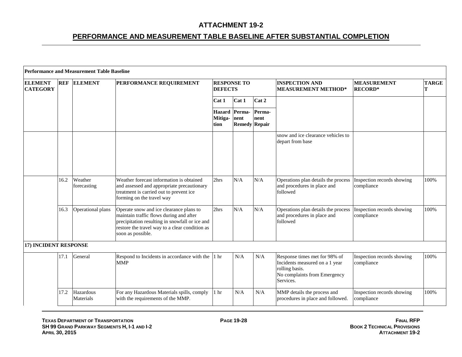|                                   |      | <b>Performance and Measurement Table Baseline</b> |                                                                                                                                                                                                             |                                      |                                        |                |                                                                                                                                |                                          |              |
|-----------------------------------|------|---------------------------------------------------|-------------------------------------------------------------------------------------------------------------------------------------------------------------------------------------------------------------|--------------------------------------|----------------------------------------|----------------|--------------------------------------------------------------------------------------------------------------------------------|------------------------------------------|--------------|
| <b>ELEMENT</b><br><b>CATEGORY</b> |      | <b>REF ELEMENT</b>                                | PERFORMANCE REQUIREMENT                                                                                                                                                                                     | <b>RESPONSE TO</b><br><b>DEFECTS</b> |                                        |                | <b>INSPECTION AND</b><br><b>MEASUREMENT METHOD*</b>                                                                            | <b>MEASUREMENT</b><br><b>RECORD*</b>     | <b>TARGE</b> |
|                                   |      |                                                   |                                                                                                                                                                                                             | Cat 1                                | Cat 1                                  | Cat 2          |                                                                                                                                |                                          |              |
|                                   |      |                                                   |                                                                                                                                                                                                             | <b>Hazard</b><br>Mitiga-<br>tion     | Perma-<br>nent<br><b>Remedy Repair</b> | Perma-<br>nent |                                                                                                                                |                                          |              |
|                                   |      |                                                   |                                                                                                                                                                                                             |                                      |                                        |                | snow and ice clearance vehicles to<br>depart from base                                                                         |                                          |              |
|                                   | 16.2 | Weather<br>forecasting                            | Weather forecast information is obtained<br>and assessed and appropriate precautionary<br>treatment is carried out to prevent ice<br>forming on the travel way                                              | 2hrs                                 | N/A                                    | N/A            | Operations plan details the process<br>and procedures in place and<br>followed                                                 | Inspection records showing<br>compliance | 100%         |
|                                   | 16.3 | Operational plans                                 | Operate snow and ice clearance plans to<br>maintain traffic flows during and after<br>precipitation resulting in snowfall or ice and<br>restore the travel way to a clear condition as<br>soon as possible. | 2hrs                                 | N/A                                    | N/A            | Operations plan details the process<br>and procedures in place and<br>followed                                                 | Inspection records showing<br>compliance | 100%         |
| 17) INCIDENT RESPONSE             |      |                                                   |                                                                                                                                                                                                             |                                      |                                        |                |                                                                                                                                |                                          |              |
|                                   | 17.1 | General                                           | Respond to Incidents in accordance with the<br><b>MMP</b>                                                                                                                                                   | 1 <sub>hr</sub>                      | N/A                                    | N/A            | Response times met for 98% of<br>Incidents measured on a 1 year<br>rolling basis.<br>No complaints from Emergency<br>Services. | Inspection records showing<br>compliance | 100%         |
|                                   | 17.2 | Hazardous<br>Materials                            | For any Hazardous Materials spills, comply<br>with the requirements of the MMP.                                                                                                                             | 1 <sub>hr</sub>                      | N/A                                    | N/A            | MMP details the process and<br>procedures in place and followed.                                                               | Inspection records showing<br>compliance | 100%         |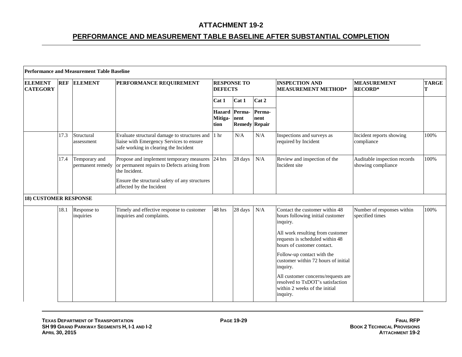|                                   |      | <b>Performance and Measurement Table Baseline</b> |                                                                                                                                                                                         |                                      |                                               |                |                                                                                                                                                                                                                                                                                                                                                                                             |                                                    |              |
|-----------------------------------|------|---------------------------------------------------|-----------------------------------------------------------------------------------------------------------------------------------------------------------------------------------------|--------------------------------------|-----------------------------------------------|----------------|---------------------------------------------------------------------------------------------------------------------------------------------------------------------------------------------------------------------------------------------------------------------------------------------------------------------------------------------------------------------------------------------|----------------------------------------------------|--------------|
| <b>ELEMENT</b><br><b>CATEGORY</b> |      | <b>REF ELEMENT</b>                                | PERFORMANCE REQUIREMENT                                                                                                                                                                 | <b>RESPONSE TO</b><br><b>DEFECTS</b> |                                               |                | <b>INSPECTION AND</b><br><b>MEASUREMENT METHOD*</b>                                                                                                                                                                                                                                                                                                                                         | <b>MEASUREMENT</b><br><b>RECORD*</b>               | <b>TARGE</b> |
|                                   |      |                                                   |                                                                                                                                                                                         | Cat 1                                | Cat 1                                         | Cat 2          |                                                                                                                                                                                                                                                                                                                                                                                             |                                                    |              |
|                                   |      |                                                   |                                                                                                                                                                                         | Mitiga-<br>tion                      | Hazard Perma-<br>nent<br><b>Remedy Repair</b> | Perma-<br>nent |                                                                                                                                                                                                                                                                                                                                                                                             |                                                    |              |
|                                   | 17.3 | Structural<br>assessment                          | Evaluate structural damage to structures and<br>liaise with Emergency Services to ensure<br>safe working in clearing the Incident                                                       | 1 <sub>hr</sub>                      | $\rm N/A$                                     | N/A            | Inspections and surveys as<br>required by Incident                                                                                                                                                                                                                                                                                                                                          | Incident reports showing<br>compliance             | 100%         |
|                                   | 17.4 | Temporary and<br>permanent remedy                 | Propose and implement temporary measures<br>or permanent repairs to Defects arising from<br>the Incident.<br>Ensure the structural safety of any structures<br>affected by the Incident | 24 hrs                               | 28 days                                       | N/A            | Review and inspection of the<br>Incident site                                                                                                                                                                                                                                                                                                                                               | Auditable inspection records<br>showing compliance | 100%         |
| <b>18) CUSTOMER RESPONSE</b>      |      |                                                   |                                                                                                                                                                                         |                                      |                                               |                |                                                                                                                                                                                                                                                                                                                                                                                             |                                                    |              |
|                                   | 18.1 | Response to<br>inquiries                          | Timely and effective response to customer<br>inquiries and complaints.                                                                                                                  | 48 hrs                               | 28 days                                       | N/A            | Contact the customer within 48<br>hours following initial customer<br>inquiry.<br>All work resulting from customer<br>requests is scheduled within 48<br>hours of customer contact.<br>Follow-up contact with the<br>customer within 72 hours of initial<br>inquiry.<br>All customer concerns/requests are<br>resolved to TxDOT's satisfaction<br>within 2 weeks of the initial<br>inquiry. | Number of responses within<br>specified times      | 100%         |